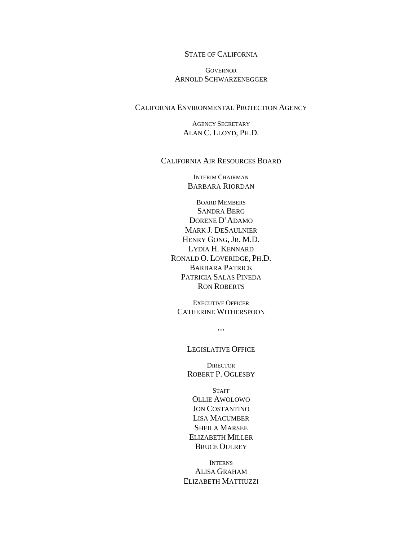## STATE OF CALIFORNIA

#### **GOVERNOR** ARNOLD SCHWARZENEGGER

# CALIFORNIA ENVIRONMENTAL PROTECTION AGENCY

AGENCY SECRETARY ALAN C. LLOYD, PH.D.

#### CALIFORNIA AIR RESOURCES BOARD

INTERIM CHAIRMAN BARBARA RIORDAN

BOARD MEMBERS SANDRA BERG DORENE D'ADAMO MARK J. DESAULNIER HENRY GONG, JR. M.D. LYDIA H. KENNARD RONALD O. LOVERIDGE, PH.D. BARBARA PATRICK PATRICIA SALAS PINEDA RON ROBERTS

EXECUTIVE OFFICER CATHERINE WITHERSPOON

 $\ddotsc$ 

#### LEGISLATIVE OFFICE

**DIRECTOR** ROBERT P. OGLESBY

**STAFF** OLLIE AWOLOWO JON COSTANTINO LISA MACUMBER SHEILA MARSEE ELIZABETH MILLER BRUCE OULREY

INTERNS ALISA GRAHAM ELIZABETH MATTIUZZI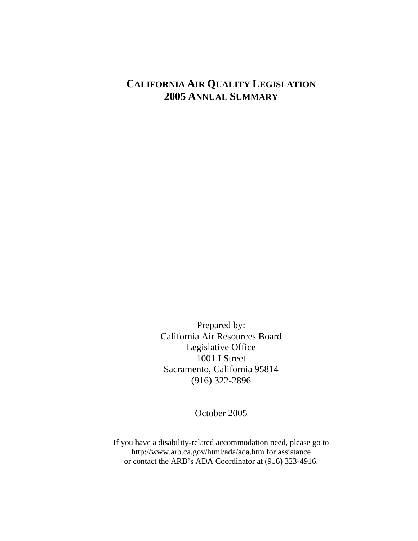# **CALIFORNIA AIR QUALITY LEGISLATION 2005 ANNUAL SUMMARY**

Prepared by: California Air Resources Board Legislative Office 1001 I Street Sacramento, California 95814 (916) 322-2896

October 2005

If you have a disability-related accommodation need, please go to http://www.arb.ca.gov/html/ada/ada.htm for assistance or contact the ARB's ADA Coordinator at (916) 323-4916.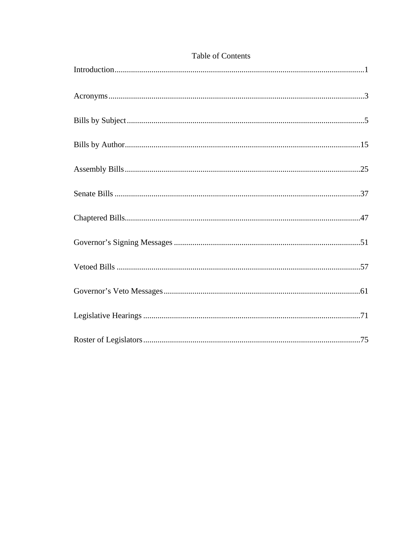# Table of Contents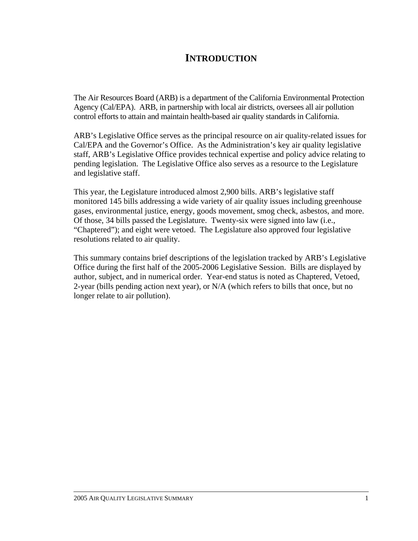# **INTRODUCTION**

The Air Resources Board (ARB) is a department of the California Environmental Protection Agency (Cal/EPA). ARB, in partnership with local air districts, oversees all air pollution control efforts to attain and maintain health-based air quality standards in California.

ARB's Legislative Office serves as the principal resource on air quality-related issues for Cal/EPA and the Governor's Office. As the Administration's key air quality legislative staff, ARB's Legislative Office provides technical expertise and policy advice relating to pending legislation. The Legislative Office also serves as a resource to the Legislature and legislative staff.

This year, the Legislature introduced almost 2,900 bills. ARB's legislative staff monitored 145 bills addressing a wide variety of air quality issues including greenhouse gases, environmental justice, energy, goods movement, smog check, asbestos, and more. Of those, 34 bills passed the Legislature. Twenty-six were signed into law (i.e., "Chaptered"); and eight were vetoed. The Legislature also approved four legislative resolutions related to air quality.

This summary contains brief descriptions of the legislation tracked by ARB's Legislative Office during the first half of the 2005-2006 Legislative Session. Bills are displayed by author, subject, and in numerical order. Year-end status is noted as Chaptered, Vetoed, 2-year (bills pending action next year), or N/A (which refers to bills that once, but no longer relate to air pollution).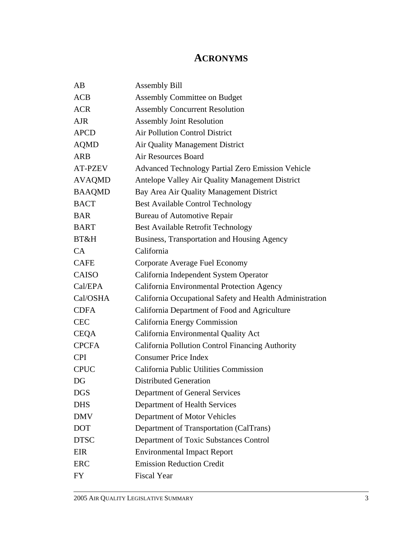# **ACRONYMS**

| AB             | <b>Assembly Bill</b>                                     |
|----------------|----------------------------------------------------------|
| ACB            | <b>Assembly Committee on Budget</b>                      |
| <b>ACR</b>     | <b>Assembly Concurrent Resolution</b>                    |
| <b>AJR</b>     | <b>Assembly Joint Resolution</b>                         |
| <b>APCD</b>    | <b>Air Pollution Control District</b>                    |
| <b>AQMD</b>    | Air Quality Management District                          |
| ARB            | <b>Air Resources Board</b>                               |
| <b>AT-PZEV</b> | <b>Advanced Technology Partial Zero Emission Vehicle</b> |
| <b>AVAQMD</b>  | Antelope Valley Air Quality Management District          |
| <b>BAAQMD</b>  | Bay Area Air Quality Management District                 |
| <b>BACT</b>    | <b>Best Available Control Technology</b>                 |
| <b>BAR</b>     | <b>Bureau of Automotive Repair</b>                       |
| <b>BART</b>    | Best Available Retrofit Technology                       |
| BT&H           | Business, Transportation and Housing Agency              |
| CA             | California                                               |
| <b>CAFE</b>    | Corporate Average Fuel Economy                           |
| <b>CAISO</b>   | California Independent System Operator                   |
| Cal/EPA        | California Environmental Protection Agency               |
| Cal/OSHA       | California Occupational Safety and Health Administration |
| <b>CDFA</b>    | California Department of Food and Agriculture            |
| <b>CEC</b>     | California Energy Commission                             |
| <b>CEQA</b>    | California Environmental Quality Act                     |
| <b>CPCFA</b>   | California Pollution Control Financing Authority         |
| <b>CPI</b>     | <b>Consumer Price Index</b>                              |
| <b>CPUC</b>    | California Public Utilities Commission                   |
| DG             | <b>Distributed Generation</b>                            |
| <b>DGS</b>     | Department of General Services                           |
| <b>DHS</b>     | Department of Health Services                            |
| <b>DMV</b>     | Department of Motor Vehicles                             |
| <b>DOT</b>     | Department of Transportation (CalTrans)                  |
| <b>DTSC</b>    | Department of Toxic Substances Control                   |
| EIR            | <b>Environmental Impact Report</b>                       |
| <b>ERC</b>     | <b>Emission Reduction Credit</b>                         |
| FY             | <b>Fiscal Year</b>                                       |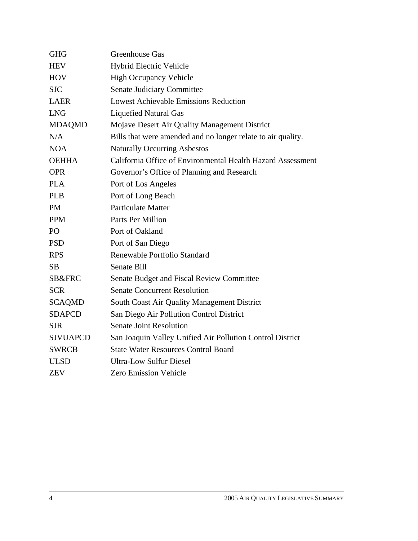| <b>GHG</b>      | <b>Greenhouse Gas</b>                                        |
|-----------------|--------------------------------------------------------------|
| <b>HEV</b>      | Hybrid Electric Vehicle                                      |
| <b>HOV</b>      | <b>High Occupancy Vehicle</b>                                |
| <b>SJC</b>      | <b>Senate Judiciary Committee</b>                            |
| <b>LAER</b>     | <b>Lowest Achievable Emissions Reduction</b>                 |
| <b>LNG</b>      | <b>Liquefied Natural Gas</b>                                 |
| <b>MDAQMD</b>   | Mojave Desert Air Quality Management District                |
| N/A             | Bills that were amended and no longer relate to air quality. |
| <b>NOA</b>      | <b>Naturally Occurring Asbestos</b>                          |
| <b>OEHHA</b>    | California Office of Environmental Health Hazard Assessment  |
| <b>OPR</b>      | Governor's Office of Planning and Research                   |
| <b>PLA</b>      | Port of Los Angeles                                          |
| <b>PLB</b>      | Port of Long Beach                                           |
| <b>PM</b>       | <b>Particulate Matter</b>                                    |
| <b>PPM</b>      | Parts Per Million                                            |
| P <sub>O</sub>  | Port of Oakland                                              |
| <b>PSD</b>      | Port of San Diego                                            |
| <b>RPS</b>      | Renewable Portfolio Standard                                 |
| SB              | Senate Bill                                                  |
| SB&FRC          | Senate Budget and Fiscal Review Committee                    |
| <b>SCR</b>      | <b>Senate Concurrent Resolution</b>                          |
| <b>SCAQMD</b>   | South Coast Air Quality Management District                  |
| <b>SDAPCD</b>   | San Diego Air Pollution Control District                     |
| <b>SJR</b>      | <b>Senate Joint Resolution</b>                               |
| <b>SJVUAPCD</b> | San Joaquin Valley Unified Air Pollution Control District    |
| <b>SWRCB</b>    | <b>State Water Resources Control Board</b>                   |
| <b>ULSD</b>     | <b>Ultra-Low Sulfur Diesel</b>                               |
| ZEV             | <b>Zero Emission Vehicle</b>                                 |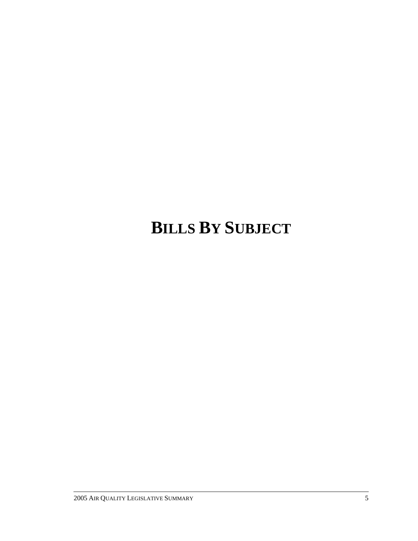# **BILLS BY SUBJECT**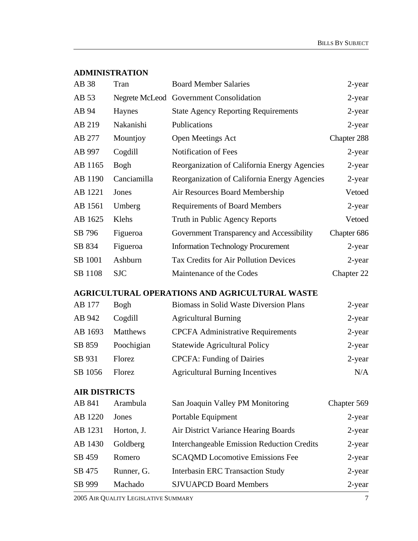# **ADMINISTRATION**

| AB 38                | Tran        | <b>Board Member Salaries</b>                          | 2-year      |
|----------------------|-------------|-------------------------------------------------------|-------------|
| AB 53                |             | Negrete McLeod Government Consolidation               | 2-year      |
| AB 94                | Haynes      | <b>State Agency Reporting Requirements</b>            | 2-year      |
| AB 219               | Nakanishi   | Publications                                          | 2-year      |
| AB 277               | Mountjoy    | Open Meetings Act                                     | Chapter 288 |
| AB 997               | Cogdill     | Notification of Fees                                  | 2-year      |
| AB 1165              | Bogh        | Reorganization of California Energy Agencies          | 2-year      |
| AB 1190              | Canciamilla | Reorganization of California Energy Agencies          | $2$ -year   |
| AB 1221              | Jones       | Air Resources Board Membership                        | Vetoed      |
| AB 1561              | Umberg      | <b>Requirements of Board Members</b>                  | 2-year      |
| AB 1625              | Klehs       | Truth in Public Agency Reports                        | Vetoed      |
| SB 796               | Figueroa    | Government Transparency and Accessibility             | Chapter 686 |
| SB 834               | Figueroa    | <b>Information Technology Procurement</b>             | 2-year      |
| SB 1001              | Ashburn     | <b>Tax Credits for Air Pollution Devices</b>          | 2-year      |
| SB 1108              | <b>SJC</b>  | Maintenance of the Codes                              | Chapter 22  |
|                      |             | <b>AGRICULTURAL OPERATIONS AND AGRICULTURAL WASTE</b> |             |
| AB 177               | <b>Bogh</b> | Biomass in Solid Waste Diversion Plans                | 2-year      |
| AB 942               | Cogdill     | <b>Agricultural Burning</b>                           | $2$ -year   |
| AB 1693              | Matthews    | <b>CPCFA Administrative Requirements</b>              | 2-year      |
| SB 859               | Poochigian  | <b>Statewide Agricultural Policy</b>                  | 2-year      |
| SB 931               | Florez      | <b>CPCFA: Funding of Dairies</b>                      | 2-year      |
| SB 1056              | Florez      | <b>Agricultural Burning Incentives</b>                | N/A         |
| <b>AIR DISTRICTS</b> |             |                                                       |             |
| AB 841               | Arambula    | San Joaquin Valley PM Monitoring                      | Chapter 569 |
| AB 1220              | Jones       | Portable Equipment                                    | 2-year      |
| AB 1231              | Horton, J.  | Air District Variance Hearing Boards                  | $2$ -year   |
| AB 1430              | Goldberg    | <b>Interchangeable Emission Reduction Credits</b>     | 2-year      |
| SB 459               | Romero      | <b>SCAQMD Locomotive Emissions Fee</b>                | $2$ -year   |
| SB 475               | Runner, G.  | <b>Interbasin ERC Transaction Study</b>               | 2-year      |
| SB 999               | Machado     | <b>SJVUAPCD Board Members</b>                         | 2-year      |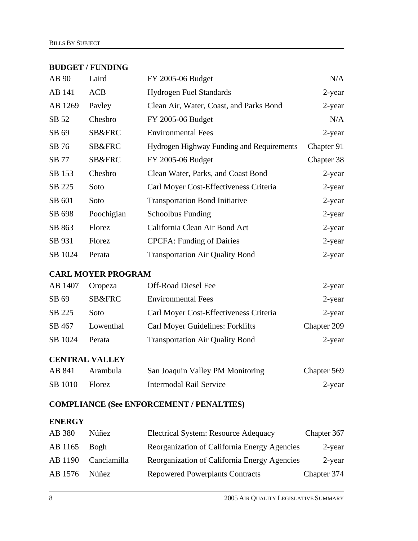#### **BUDGET / FUNDING**

| AB 90   | Laird      | FY 2005-06 Budget                         | N/A        |
|---------|------------|-------------------------------------------|------------|
| AB 141  | <b>ACB</b> | <b>Hydrogen Fuel Standards</b>            | 2-year     |
| AB 1269 | Payley     | Clean Air, Water, Coast, and Parks Bond   | $2$ -year  |
| SB 52   | Chesbro    | FY 2005-06 Budget                         | N/A        |
| SB 69   | SB&FRC     | <b>Environmental Fees</b>                 | 2-year     |
| SB 76   | SB&FRC     | Hydrogen Highway Funding and Requirements | Chapter 91 |
| SB 77   | SB&FRC     | FY 2005-06 Budget                         | Chapter 38 |
| SB 153  | Chesbro    | Clean Water, Parks, and Coast Bond        | $2$ -year  |
| SB 225  | Soto       | Carl Moyer Cost-Effectiveness Criteria    | $2$ -year  |
| SB 601  | Soto       | <b>Transportation Bond Initiative</b>     | $2$ -year  |
| SB 698  | Poochigian | <b>Schoolbus Funding</b>                  | 2-year     |
| SB 863  | Florez     | California Clean Air Bond Act             | $2$ -year  |
| SB 931  | Florez     | <b>CPCFA: Funding of Dairies</b>          | $2$ -year  |
| SB 1024 | Perata     | <b>Transportation Air Quality Bond</b>    | $2$ -year  |

# **CARL MOYER PROGRAM**

| AB 1407 | Oropeza           | <b>Off-Road Diesel Fee</b>             | 2-year      |
|---------|-------------------|----------------------------------------|-------------|
| SB 69   | <b>SB&amp;FRC</b> | <b>Environmental Fees</b>              | $2$ -year   |
| SB 225  | Soto              | Carl Moyer Cost-Effectiveness Criteria | $2$ -year   |
| SB 467  | Lowenthal         | Carl Moyer Guidelines: Forklifts       | Chapter 209 |
| SB 1024 | Perata            | <b>Transportation Air Quality Bond</b> | 2-year      |

# **CENTRAL VALLEY**

| AB 841  | Arambula      | San Joaquin Valley PM Monitoring | Chapter 569 |
|---------|---------------|----------------------------------|-------------|
| SB 1010 | <b>Florez</b> | Intermodal Rail Service          | 2-year      |

# **COMPLIANCE (See ENFORCEMENT / PENALTIES)**

# **ENERGY**

| AB 380         | <b>Núñez</b> | <b>Electrical System: Resource Adequacy</b>  | Chapter 367 |
|----------------|--------------|----------------------------------------------|-------------|
| $AB 1165$ Bogh |              | Reorganization of California Energy Agencies | $2$ -year   |
| AB 1190        | Canciamilla  | Reorganization of California Energy Agencies | $2$ -year   |
| AB 1576        | Núñez        | <b>Repowered Powerplants Contracts</b>       | Chapter 374 |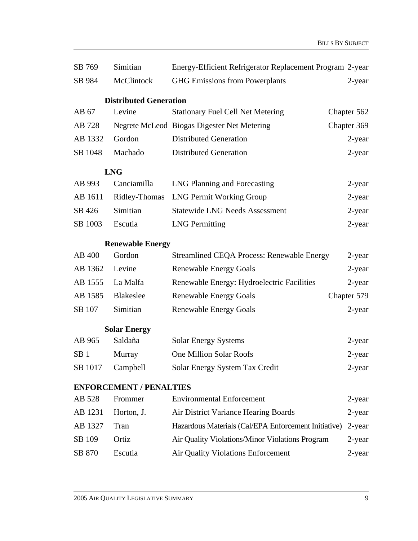| SB 769          | Simitian                       | Energy-Efficient Refrigerator Replacement Program 2-year |             |
|-----------------|--------------------------------|----------------------------------------------------------|-------------|
| SB 984          | McClintock                     | <b>GHG Emissions from Powerplants</b>                    | 2-year      |
|                 | <b>Distributed Generation</b>  |                                                          |             |
| AB 67           | Levine                         | <b>Stationary Fuel Cell Net Metering</b>                 | Chapter 562 |
| AB 728          |                                | Negrete McLeod Biogas Digester Net Metering              | Chapter 369 |
| AB 1332         | Gordon                         | <b>Distributed Generation</b>                            | 2-year      |
| SB 1048         | Machado                        | <b>Distributed Generation</b>                            | 2-year      |
|                 | <b>LNG</b>                     |                                                          |             |
| AB 993          | Canciamilla                    | LNG Planning and Forecasting                             | 2-year      |
| AB 1611         | Ridley-Thomas                  | <b>LNG Permit Working Group</b>                          | 2-year      |
| SB 426          | Simitian                       | <b>Statewide LNG Needs Assessment</b>                    | 2-year      |
| SB 1003         | Escutia                        | <b>LNG Permitting</b>                                    | 2-year      |
|                 | <b>Renewable Energy</b>        |                                                          |             |
| AB 400          | Gordon                         | <b>Streamlined CEQA Process: Renewable Energy</b>        | 2-year      |
| AB 1362         | Levine                         | <b>Renewable Energy Goals</b>                            | 2-year      |
| AB 1555         | La Malfa                       | Renewable Energy: Hydroelectric Facilities               | 2-year      |
| AB 1585         | Blakeslee                      | <b>Renewable Energy Goals</b>                            | Chapter 579 |
| SB 107          | Simitian                       | <b>Renewable Energy Goals</b>                            | 2-year      |
|                 | <b>Solar Energy</b>            |                                                          |             |
| AB 965          | Saldaña                        | <b>Solar Energy Systems</b>                              | 2-year      |
| SB <sub>1</sub> | Murray                         | <b>One Million Solar Roofs</b>                           | 2-year      |
| SB 1017         | Campbell                       | Solar Energy System Tax Credit                           | $2$ -year   |
|                 | <b>ENFORCEMENT / PENALTIES</b> |                                                          |             |
| AB 528          | Frommer                        | <b>Environmental Enforcement</b>                         | 2-year      |
| AB 1231         | Horton, J.                     | Air District Variance Hearing Boards                     | 2-year      |
| AB 1327         | Tran                           | Hazardous Materials (Cal/EPA Enforcement Initiative)     | 2-year      |
| SB 109          | Ortiz                          | Air Quality Violations/Minor Violations Program          | 2-year      |
| SB 870          | Escutia                        | Air Quality Violations Enforcement                       | 2-year      |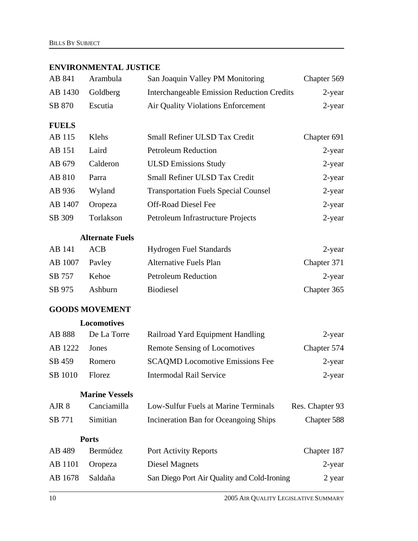# **ENVIRONMENTAL JUSTICE**

| Arambula              | San Joaquin Valley PM Monitoring            | Chapter 569                                       |
|-----------------------|---------------------------------------------|---------------------------------------------------|
| Goldberg              |                                             | 2-year                                            |
| Escutia               | Air Quality Violations Enforcement          | 2-year                                            |
|                       |                                             |                                                   |
| Klehs                 | Small Refiner ULSD Tax Credit               | Chapter 691                                       |
| Laird                 | <b>Petroleum Reduction</b>                  | $2$ -year                                         |
| Calderon              | <b>ULSD Emissions Study</b>                 | 2-year                                            |
| Parra                 | Small Refiner ULSD Tax Credit               | 2-year                                            |
| Wyland                | <b>Transportation Fuels Special Counsel</b> | 2-year                                            |
| Oropeza               | <b>Off-Road Diesel Fee</b>                  | 2-year                                            |
| Torlakson             | Petroleum Infrastructure Projects           | 2-year                                            |
|                       |                                             |                                                   |
| <b>ACB</b>            | <b>Hydrogen Fuel Standards</b>              | 2-year                                            |
| Payley                | <b>Alternative Fuels Plan</b>               | Chapter 371                                       |
| Kehoe                 | <b>Petroleum Reduction</b>                  | $2$ -year                                         |
| Ashburn               | <b>Biodiesel</b>                            | Chapter 365                                       |
| <b>GOODS MOVEMENT</b> |                                             |                                                   |
| Locomotives           |                                             |                                                   |
| De La Torre           | Railroad Yard Equipment Handling            | 2-year                                            |
| Jones                 | <b>Remote Sensing of Locomotives</b>        | Chapter 574                                       |
| Romero                | <b>SCAQMD</b> Locomotive Emissions Fee      | 2-year                                            |
| Florez                | <b>Intermodal Rail Service</b>              | 2-year                                            |
| <b>Marine Vessels</b> |                                             |                                                   |
| Canciamilla           | Low-Sulfur Fuels at Marine Terminals        | Res. Chapter 93                                   |
| Simitian              | Incineration Ban for Oceangoing Ships       | Chapter 588                                       |
| <b>Ports</b>          |                                             |                                                   |
| Bermúdez              | Port Activity Reports                       | Chapter 187                                       |
| Oropeza               | <b>Diesel Magnets</b>                       | $2$ -year                                         |
| Saldaña               | San Diego Port Air Quality and Cold-Ironing | 2 year                                            |
|                       | <b>Alternate Fuels</b>                      | <b>Interchangeable Emission Reduction Credits</b> |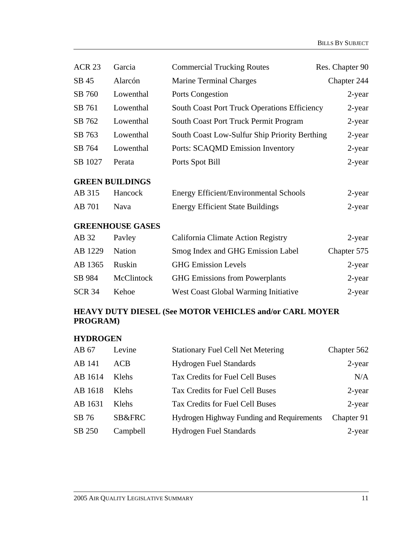| <b>ACR 23</b>                                                       | Garcia                  | <b>Commercial Trucking Routes</b>                   | Res. Chapter 90 |
|---------------------------------------------------------------------|-------------------------|-----------------------------------------------------|-----------------|
| SB 45                                                               | Alarcón                 | <b>Marine Terminal Charges</b>                      | Chapter 244     |
| SB 760                                                              | Lowenthal               | Ports Congestion                                    | 2-year          |
| SB 761                                                              | Lowenthal               | <b>South Coast Port Truck Operations Efficiency</b> | 2-year          |
| SB 762                                                              | Lowenthal               | South Coast Port Truck Permit Program               | 2-year          |
| SB 763                                                              | Lowenthal               | South Coast Low-Sulfur Ship Priority Berthing       | 2-year          |
| SB 764                                                              | Lowenthal               | Ports: SCAQMD Emission Inventory                    | 2-year          |
| SB 1027                                                             | Perata                  | Ports Spot Bill                                     | 2-year          |
|                                                                     | <b>GREEN BUILDINGS</b>  |                                                     |                 |
| AB 315                                                              | Hancock                 | <b>Energy Efficient/Environmental Schools</b>       | 2-year          |
| AB 701                                                              | Nava                    | <b>Energy Efficient State Buildings</b>             | 2-year          |
|                                                                     | <b>GREENHOUSE GASES</b> |                                                     |                 |
| AB 32                                                               | Payley                  | California Climate Action Registry                  | 2-year          |
| AB 1229                                                             | Nation                  | Smog Index and GHG Emission Label                   | Chapter 575     |
| AB 1365                                                             | Ruskin                  | <b>GHG Emission Levels</b>                          | 2-year          |
| SB 984                                                              | McClintock              | <b>GHG Emissions from Powerplants</b>               | 2-year          |
| <b>SCR 34</b>                                                       | Kehoe                   | West Coast Global Warming Initiative                | 2-year          |
| HEAVY DUTY DIESEL (See MOTOR VEHICLES and/or CARL MOYER<br>PROGRAM) |                         |                                                     |                 |

# **HYDROGEN**

| AB 67   | Levine   | <b>Stationary Fuel Cell Net Metering</b>  | Chapter 562 |
|---------|----------|-------------------------------------------|-------------|
| AB 141  | ACB      | <b>Hydrogen Fuel Standards</b>            | 2-year      |
| AB 1614 | Klehs    | Tax Credits for Fuel Cell Buses           | N/A         |
| AB 1618 | Klehs    | Tax Credits for Fuel Cell Buses           | $2$ -year   |
| AB 1631 | Klehs    | Tax Credits for Fuel Cell Buses           | $2$ -year   |
| SB 76   | SB&FRC   | Hydrogen Highway Funding and Requirements | Chapter 91  |
| SB 250  | Campbell | <b>Hydrogen Fuel Standards</b>            | 2-year      |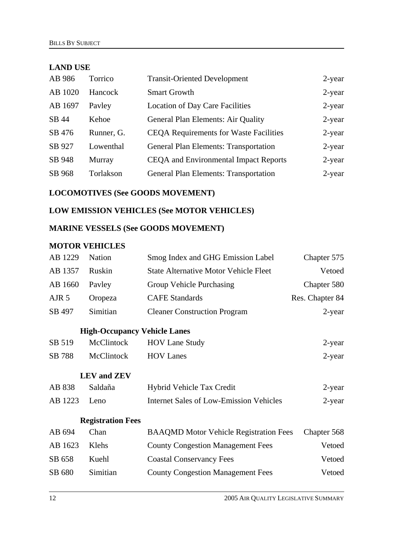# **LAND USE**

| AB 986  | Torrico    | <b>Transit-Oriented Development</b>           | 2-year    |
|---------|------------|-----------------------------------------------|-----------|
| AB 1020 | Hancock    | <b>Smart Growth</b>                           | $2$ -year |
| AB 1697 | Payley     | <b>Location of Day Care Facilities</b>        | $2$ -year |
| SB 44   | Kehoe      | <b>General Plan Elements: Air Quality</b>     | $2$ -year |
| SB 476  | Runner, G. | <b>CEQA Requirements for Waste Facilities</b> | $2$ -year |
| SB 927  | Lowenthal  | <b>General Plan Elements: Transportation</b>  | $2$ -year |
| SB 948  | Murray     | <b>CEQA</b> and Environmental Impact Reports  | $2$ -year |
| SB 968  | Torlakson  | <b>General Plan Elements: Transportation</b>  | $2$ -year |

# **LOCOMOTIVES (See GOODS MOVEMENT)**

# **LOW EMISSION VEHICLES (See MOTOR VEHICLES)**

# **MARINE VESSELS (See GOODS MOVEMENT)**

# **MOTOR VEHICLES**

| AB 1229          | <b>Nation</b>                       | Smog Index and GHG Emission Label              | Chapter 575     |
|------------------|-------------------------------------|------------------------------------------------|-----------------|
| AB 1357          | Ruskin                              | <b>State Alternative Motor Vehicle Fleet</b>   | Vetoed          |
| AB 1660          | Payley                              | Group Vehicle Purchasing                       | Chapter 580     |
| AJR <sub>5</sub> | Oropeza                             | <b>CAFE</b> Standards                          | Res. Chapter 84 |
| SB 497           | Simitian                            | <b>Cleaner Construction Program</b>            | $2$ -year       |
|                  | <b>High-Occupancy Vehicle Lanes</b> |                                                |                 |
| SB 519           | McClintock                          | <b>HOV Lane Study</b>                          | 2-year          |
| SB 788           | <b>McClintock</b>                   | <b>HOV Lanes</b>                               | 2-year          |
|                  | <b>LEV</b> and <b>ZEV</b>           |                                                |                 |
| AB 838           | Saldaña                             | Hybrid Vehicle Tax Credit                      | $2$ -year       |
| AB 1223          | Leno                                | <b>Internet Sales of Low-Emission Vehicles</b> | 2-year          |
|                  | <b>Registration Fees</b>            |                                                |                 |
| AB 694           | Chan                                | <b>BAAQMD Motor Vehicle Registration Fees</b>  | Chapter 568     |
| AB 1623          | Klehs                               | <b>County Congestion Management Fees</b>       | Vetoed          |
| SB 658           | Kuehl                               | <b>Coastal Conservancy Fees</b>                | Vetoed          |
| SB 680           | Simitian                            | <b>County Congestion Management Fees</b>       | Vetoed          |
|                  |                                     |                                                |                 |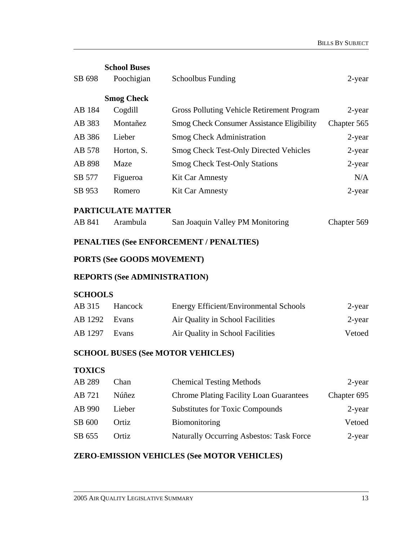|                                         | <b>School Buses</b>              |                                                   |             |
|-----------------------------------------|----------------------------------|---------------------------------------------------|-------------|
| SB 698                                  | Poochigian                       | <b>Schoolbus Funding</b>                          | 2-year      |
|                                         | <b>Smog Check</b>                |                                                   |             |
| AB 184                                  | Cogdill                          | Gross Polluting Vehicle Retirement Program        | 2-year      |
| AB 383                                  | Montañez                         | <b>Smog Check Consumer Assistance Eligibility</b> | Chapter 565 |
| AB 386                                  | Lieber                           | <b>Smog Check Administration</b>                  | $2$ -year   |
| AB 578                                  | Horton, S.                       | <b>Smog Check Test-Only Directed Vehicles</b>     | 2-year      |
| AB 898                                  | Maze                             | <b>Smog Check Test-Only Stations</b>              | $2$ -year   |
| SB 577                                  | Figueroa                         | <b>Kit Car Amnesty</b>                            | N/A         |
| SB 953                                  | Romero                           | <b>Kit Car Amnesty</b>                            | $2$ -year   |
|                                         | PARTICULATE MATTER               |                                                   |             |
| AB 841                                  | Arambula                         | San Joaquin Valley PM Monitoring                  | Chapter 569 |
| PENALTIES (See ENFORCEMENT / PENALTIES) |                                  |                                                   |             |
| <b>PORTS (See GOODS MOVEMENT)</b>       |                                  |                                                   |             |
|                                         | DEDODTE (C., A DIAINTETD A TION) |                                                   |             |

# **REPORTS (See ADMINISTRATION)**

## **SCHOOLS**

| AB 315        | <b>Hancock</b> | <b>Energy Efficient/Environmental Schools</b> | 2-year |
|---------------|----------------|-----------------------------------------------|--------|
| AB 1292 Evans |                | Air Quality in School Facilities              | 2-year |
| AB 1297       | Evans          | Air Quality in School Facilities              | Vetoed |

# **SCHOOL BUSES (See MOTOR VEHICLES)**

# **TOXICS**

| Chan   | <b>Chemical Testing Methods</b>                 | 2-year      |
|--------|-------------------------------------------------|-------------|
| Núñez  | <b>Chrome Plating Facility Loan Guarantees</b>  | Chapter 695 |
| Lieber | <b>Substitutes for Toxic Compounds</b>          | 2-year      |
| Ortiz  | <b>Biomonitoring</b>                            | Vetoed      |
| Ortiz  | <b>Naturally Occurring Asbestos: Task Force</b> | 2-year      |
|        |                                                 |             |

# **ZERO-EMISSION VEHICLES (See MOTOR VEHICLES)**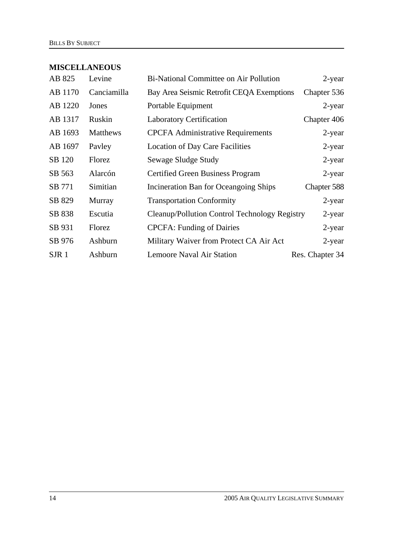# **MISCELLANEOUS**

| AB 825           | Levine      | Bi-National Committee on Air Pollution        | $2$ -year       |
|------------------|-------------|-----------------------------------------------|-----------------|
| AB 1170          | Canciamilla | Bay Area Seismic Retrofit CEQA Exemptions     | Chapter 536     |
| AB 1220          | Jones       | Portable Equipment                            | $2$ -year       |
| AB 1317          | Ruskin      | <b>Laboratory Certification</b>               | Chapter 406     |
| AB 1693          | Matthews    | <b>CPCFA Administrative Requirements</b>      | 2-year          |
| AB 1697          | Payley      | <b>Location of Day Care Facilities</b>        | $2$ -year       |
| SB 120           | Florez      | Sewage Sludge Study                           | $2$ -year       |
| SB 563           | Alarcón     | <b>Certified Green Business Program</b>       | $2$ -year       |
| SB 771           | Simitian    | Incineration Ban for Oceangoing Ships         | Chapter 588     |
| SB 829           | Murray      | <b>Transportation Conformity</b>              | $2$ -year       |
| SB 838           | Escutia     | Cleanup/Pollution Control Technology Registry | $2$ -year       |
| SB 931           | Florez      | <b>CPCFA: Funding of Dairies</b>              | $2$ -year       |
| SB 976           | Ashburn     | Military Waiver from Protect CA Air Act       | $2$ -year       |
| SJR <sub>1</sub> | Ashburn     | Lemoore Naval Air Station                     | Res. Chapter 34 |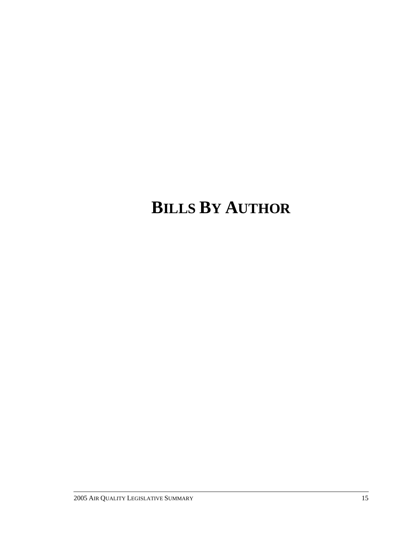# **BILLS BY AUTHOR**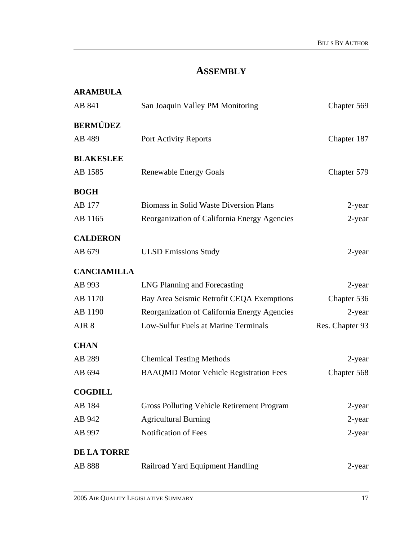# **ASSEMBLY**

| <b>ARAMBULA</b>    |                                                   |                 |
|--------------------|---------------------------------------------------|-----------------|
| AB 841             | San Joaquin Valley PM Monitoring                  | Chapter 569     |
| BERMÚDEZ           |                                                   |                 |
| AB 489             | Port Activity Reports                             | Chapter 187     |
| <b>BLAKESLEE</b>   |                                                   |                 |
| AB 1585            | <b>Renewable Energy Goals</b>                     | Chapter 579     |
| BOGH               |                                                   |                 |
| AB 177             | Biomass in Solid Waste Diversion Plans            | 2-year          |
| AB 1165            | Reorganization of California Energy Agencies      | $2$ -year       |
| <b>CALDERON</b>    |                                                   |                 |
| AB 679             | <b>ULSD Emissions Study</b>                       | $2$ -year       |
| <b>CANCIAMILLA</b> |                                                   |                 |
| AB 993             | LNG Planning and Forecasting                      | 2-year          |
| AB 1170            | Bay Area Seismic Retrofit CEQA Exemptions         | Chapter 536     |
| AB 1190            | Reorganization of California Energy Agencies      | 2-year          |
| AJR 8              | Low-Sulfur Fuels at Marine Terminals              | Res. Chapter 93 |
| <b>CHAN</b>        |                                                   |                 |
| AB 289             | <b>Chemical Testing Methods</b>                   | 2-year          |
| AB 694             | <b>BAAQMD Motor Vehicle Registration Fees</b>     | Chapter 568     |
| COGDILL            |                                                   |                 |
| AB 184             | <b>Gross Polluting Vehicle Retirement Program</b> | $2$ -year       |
| AB 942             | <b>Agricultural Burning</b>                       | $2$ -year       |
| AB 997             | Notification of Fees                              | $2$ -year       |
| <b>DE LA TORRE</b> |                                                   |                 |
| AB 888             | Railroad Yard Equipment Handling                  | 2-year          |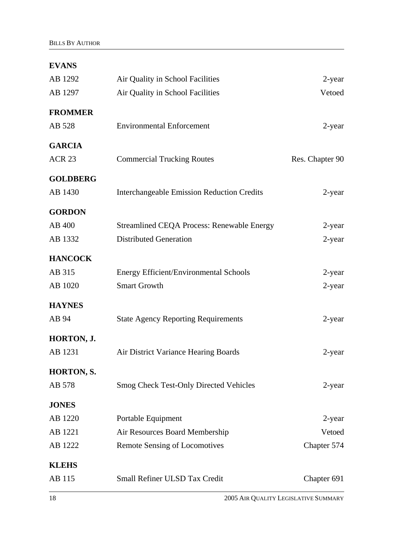| <b>EVANS</b>      |                                                   |                 |
|-------------------|---------------------------------------------------|-----------------|
| AB 1292           | Air Quality in School Facilities                  | 2-year          |
| AB 1297           | Air Quality in School Facilities                  | Vetoed          |
| <b>FROMMER</b>    |                                                   |                 |
| AB 528            | <b>Environmental Enforcement</b>                  | 2-year          |
| <b>GARCIA</b>     |                                                   |                 |
| <b>ACR 23</b>     | <b>Commercial Trucking Routes</b>                 | Res. Chapter 90 |
| <b>GOLDBERG</b>   |                                                   |                 |
| AB 1430           | <b>Interchangeable Emission Reduction Credits</b> | 2-year          |
| <b>GORDON</b>     |                                                   |                 |
| AB 400            | <b>Streamlined CEQA Process: Renewable Energy</b> | 2-year          |
| AB 1332           | <b>Distributed Generation</b>                     | $2$ -year       |
| <b>HANCOCK</b>    |                                                   |                 |
| AB 315            | <b>Energy Efficient/Environmental Schools</b>     | 2-year          |
| AB 1020           | <b>Smart Growth</b>                               | 2-year          |
| <b>HAYNES</b>     |                                                   |                 |
| AB 94             | <b>State Agency Reporting Requirements</b>        | $2$ -year       |
| HORTON, J.        |                                                   |                 |
| AB 1231           | Air District Variance Hearing Boards              | 2-year          |
| <b>HORTON, S.</b> |                                                   |                 |
| AB 578            | <b>Smog Check Test-Only Directed Vehicles</b>     | 2-year          |
| <b>JONES</b>      |                                                   |                 |
| AB 1220           | Portable Equipment                                | 2-year          |
| AB 1221           | Air Resources Board Membership                    | Vetoed          |
| AB 1222           | <b>Remote Sensing of Locomotives</b>              | Chapter 574     |
| <b>KLEHS</b>      |                                                   |                 |
| AB 115            | Small Refiner ULSD Tax Credit                     | Chapter 691     |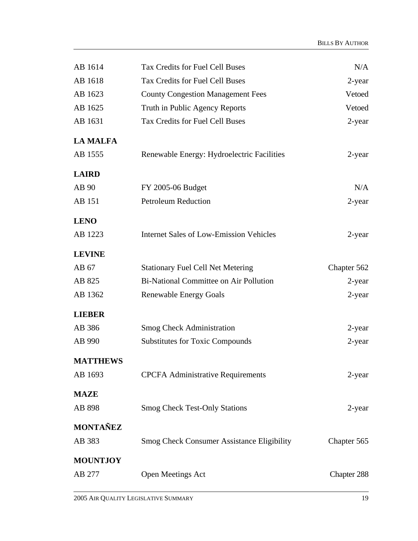| AB 1614         | Tax Credits for Fuel Cell Buses                   | N/A         |
|-----------------|---------------------------------------------------|-------------|
| AB 1618         | Tax Credits for Fuel Cell Buses                   | 2-year      |
| AB 1623         | <b>County Congestion Management Fees</b>          | Vetoed      |
| AB 1625         | Truth in Public Agency Reports                    | Vetoed      |
| AB 1631         | Tax Credits for Fuel Cell Buses                   | 2-year      |
| <b>LA MALFA</b> |                                                   |             |
| AB 1555         | Renewable Energy: Hydroelectric Facilities        | 2-year      |
| <b>LAIRD</b>    |                                                   |             |
| AB 90           | FY 2005-06 Budget                                 | N/A         |
| AB 151          | <b>Petroleum Reduction</b>                        | 2-year      |
| <b>LENO</b>     |                                                   |             |
| AB 1223         | <b>Internet Sales of Low-Emission Vehicles</b>    | 2-year      |
| <b>LEVINE</b>   |                                                   |             |
| AB 67           | <b>Stationary Fuel Cell Net Metering</b>          | Chapter 562 |
| AB 825          | Bi-National Committee on Air Pollution            | 2-year      |
| AB 1362         | <b>Renewable Energy Goals</b>                     | 2-year      |
| <b>LIEBER</b>   |                                                   |             |
| AB 386          | <b>Smog Check Administration</b>                  | 2-year      |
| AB 990          | <b>Substitutes for Toxic Compounds</b>            | $2$ -year   |
| <b>MATTHEWS</b> |                                                   |             |
| AB 1693         | <b>CPCFA Administrative Requirements</b>          | 2-year      |
| <b>MAZE</b>     |                                                   |             |
| AB 898          | <b>Smog Check Test-Only Stations</b>              | 2-year      |
| <b>MONTAÑEZ</b> |                                                   |             |
| AB 383          | <b>Smog Check Consumer Assistance Eligibility</b> | Chapter 565 |
| <b>MOUNTJOY</b> |                                                   |             |
| AB 277          | <b>Open Meetings Act</b>                          | Chapter 288 |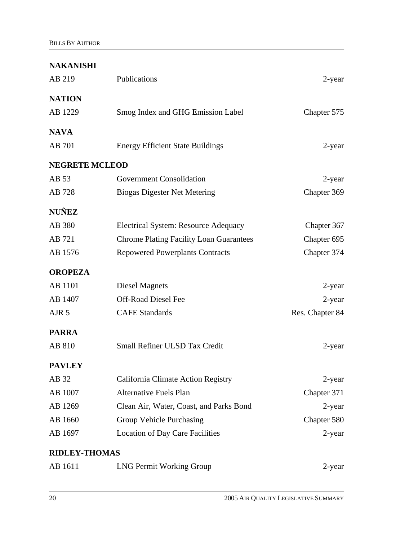| AB 219                | Publications                                   | 2-year          |
|-----------------------|------------------------------------------------|-----------------|
| <b>NATION</b>         |                                                |                 |
| AB 1229               | Smog Index and GHG Emission Label              | Chapter 575     |
| <b>NAVA</b>           |                                                |                 |
| AB 701                | <b>Energy Efficient State Buildings</b>        | $2$ -year       |
| <b>NEGRETE MCLEOD</b> |                                                |                 |
| AB 53                 | <b>Government Consolidation</b>                | 2-year          |
| AB 728                | <b>Biogas Digester Net Metering</b>            | Chapter 369     |
| <b>NUÑEZ</b>          |                                                |                 |
| AB 380                | <b>Electrical System: Resource Adequacy</b>    | Chapter 367     |
| AB 721                | <b>Chrome Plating Facility Loan Guarantees</b> | Chapter 695     |
| AB 1576               | <b>Repowered Powerplants Contracts</b>         | Chapter 374     |
| <b>OROPEZA</b>        |                                                |                 |
| AB 1101               | <b>Diesel Magnets</b>                          | 2-year          |
| AB 1407               | <b>Off-Road Diesel Fee</b>                     | $2$ -year       |
| AJR <sub>5</sub>      | <b>CAFE</b> Standards                          | Res. Chapter 84 |
| <b>PARRA</b>          |                                                |                 |
| AB 810                | Small Refiner ULSD Tax Credit                  | 2-year          |
| <b>PAVLEY</b>         |                                                |                 |
| AB 32                 | California Climate Action Registry             | 2-year          |
| AB 1007               | <b>Alternative Fuels Plan</b>                  | Chapter 371     |
| AB 1269               | Clean Air, Water, Coast, and Parks Bond        | 2-year          |
| AB 1660               | Group Vehicle Purchasing                       | Chapter 580     |
| AB 1697               | <b>Location of Day Care Facilities</b>         | $2$ -year       |
| <b>RIDLEY-THOMAS</b>  |                                                |                 |
| AB 1611               | <b>LNG Permit Working Group</b>                | 2-year          |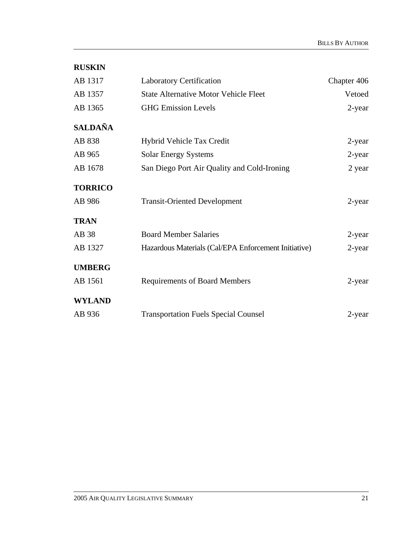| <b>RUSKIN</b>  |                                                      |             |
|----------------|------------------------------------------------------|-------------|
| AB 1317        | <b>Laboratory Certification</b>                      | Chapter 406 |
| AB 1357        | <b>State Alternative Motor Vehicle Fleet</b>         | Vetoed      |
| AB 1365        | <b>GHG Emission Levels</b>                           | 2-year      |
| <b>SALDAÑA</b> |                                                      |             |
| AB 838         | Hybrid Vehicle Tax Credit                            | 2-year      |
| AB 965         | <b>Solar Energy Systems</b>                          | 2-year      |
| AB 1678        | San Diego Port Air Quality and Cold-Ironing          | 2 year      |
| <b>TORRICO</b> |                                                      |             |
| AB 986         | <b>Transit-Oriented Development</b>                  | 2-year      |
| <b>TRAN</b>    |                                                      |             |
| AB 38          | <b>Board Member Salaries</b>                         | 2-year      |
| AB 1327        | Hazardous Materials (Cal/EPA Enforcement Initiative) | $2$ -year   |
| <b>UMBERG</b>  |                                                      |             |
| AB 1561        | <b>Requirements of Board Members</b>                 | 2-year      |
| <b>WYLAND</b>  |                                                      |             |
| AB 936         | <b>Transportation Fuels Special Counsel</b>          | $2$ -year   |
|                |                                                      |             |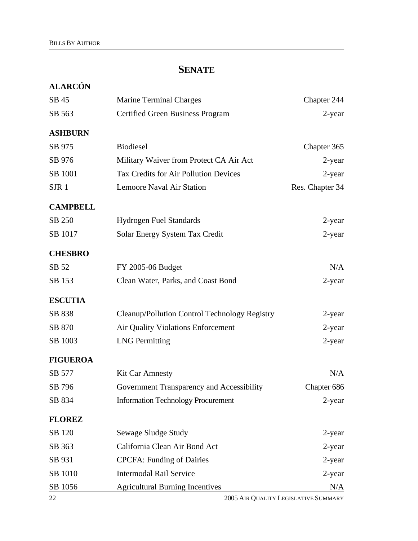# **SENATE**

| <b>ALARCÓN</b>   |                                               |                 |
|------------------|-----------------------------------------------|-----------------|
| SB 45            | <b>Marine Terminal Charges</b>                | Chapter 244     |
| SB 563           | <b>Certified Green Business Program</b>       | 2-year          |
| <b>ASHBURN</b>   |                                               |                 |
| SB 975           | <b>Biodiesel</b>                              | Chapter 365     |
| SB 976           | Military Waiver from Protect CA Air Act       | 2-year          |
| SB 1001          | <b>Tax Credits for Air Pollution Devices</b>  | $2$ -year       |
| SJR <sub>1</sub> | Lemoore Naval Air Station                     | Res. Chapter 34 |
| <b>CAMPBELL</b>  |                                               |                 |
| SB 250           | <b>Hydrogen Fuel Standards</b>                | $2$ -year       |
| SB 1017          | Solar Energy System Tax Credit                | $2$ -year       |
| <b>CHESBRO</b>   |                                               |                 |
| SB 52            | FY 2005-06 Budget                             | N/A             |
| SB 153           | Clean Water, Parks, and Coast Bond            | 2-year          |
| <b>ESCUTIA</b>   |                                               |                 |
| SB 838           | Cleanup/Pollution Control Technology Registry | $2$ -year       |
| SB 870           | <b>Air Quality Violations Enforcement</b>     | $2$ -year       |
| SB 1003          | <b>LNG</b> Permitting                         | $2$ -year       |
| <b>FIGUEROA</b>  |                                               |                 |
| SB 577           | <b>Kit Car Amnesty</b>                        | N/A             |
| SB 796           | Government Transparency and Accessibility     | Chapter 686     |
| SB 834           | <b>Information Technology Procurement</b>     | $2$ -year       |
| <b>FLOREZ</b>    |                                               |                 |
| SB 120           | Sewage Sludge Study                           | 2-year          |
| SB 363           | California Clean Air Bond Act                 | $2$ -year       |
| SB 931           | <b>CPCFA: Funding of Dairies</b>              | 2-year          |
| SB 1010          | <b>Intermodal Rail Service</b>                | $2$ -year       |
| SB 1056          | <b>Agricultural Burning Incentives</b>        | N/A             |

22 2005 AIR QUALITY LEGISLATIVE SUMMARY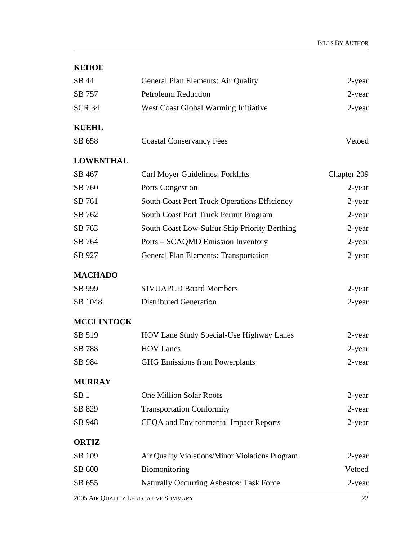| SB 44             | General Plan Elements: Air Quality                  | 2-year      |
|-------------------|-----------------------------------------------------|-------------|
| SB 757            | <b>Petroleum Reduction</b>                          | 2-year      |
| <b>SCR 34</b>     | West Coast Global Warming Initiative                | $2$ -year   |
| <b>KUEHL</b>      |                                                     |             |
| SB 658            | <b>Coastal Conservancy Fees</b>                     | Vetoed      |
| <b>LOWENTHAL</b>  |                                                     |             |
| SB 467            | Carl Moyer Guidelines: Forklifts                    | Chapter 209 |
| SB 760            | Ports Congestion                                    | 2-year      |
| SB 761            | <b>South Coast Port Truck Operations Efficiency</b> | 2-year      |
| SB 762            | South Coast Port Truck Permit Program               | 2-year      |
| SB 763            | South Coast Low-Sulfur Ship Priority Berthing       | 2-year      |
| SB 764            | Ports – SCAQMD Emission Inventory                   | $2$ -year   |
| SB 927            | <b>General Plan Elements: Transportation</b>        | $2$ -year   |
| <b>MACHADO</b>    |                                                     |             |
| SB 999            | <b>SJVUAPCD Board Members</b>                       | $2$ -year   |
| SB 1048           | <b>Distributed Generation</b>                       | 2-year      |
| <b>MCCLINTOCK</b> |                                                     |             |
| SB 519            | HOV Lane Study Special-Use Highway Lanes            | 2-year      |
| <b>SB</b> 788     | <b>HOV Lanes</b>                                    | 2-year      |
| SB 984            | <b>GHG Emissions from Powerplants</b>               | $2$ -year   |
| <b>MURRAY</b>     |                                                     |             |
| SB <sub>1</sub>   | <b>One Million Solar Roofs</b>                      | $2$ -year   |
| SB 829            | <b>Transportation Conformity</b>                    | 2-year      |
| SB 948            | CEQA and Environmental Impact Reports               | $2$ -year   |
| <b>ORTIZ</b>      |                                                     |             |
| SB 109            | Air Quality Violations/Minor Violations Program     | 2-year      |
| SB 600            | Biomonitoring                                       | Vetoed      |
| SB 655            | <b>Naturally Occurring Asbestos: Task Force</b>     | 2-year      |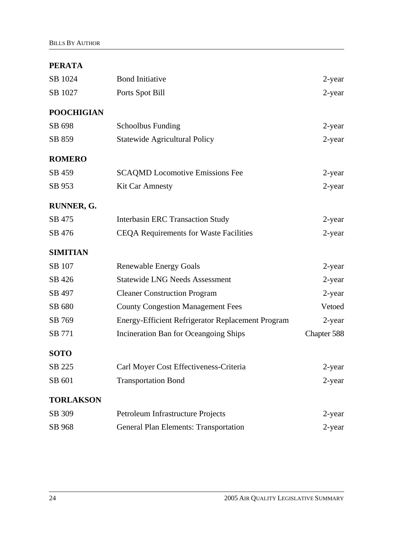# **PERATA**

| SB 1024           | <b>Bond Initiative</b>                            | 2-year      |
|-------------------|---------------------------------------------------|-------------|
| SB 1027           | Ports Spot Bill                                   | $2$ -year   |
| <b>POOCHIGIAN</b> |                                                   |             |
| SB 698            | <b>Schoolbus Funding</b>                          | $2$ -year   |
| SB 859            | <b>Statewide Agricultural Policy</b>              | 2-year      |
| <b>ROMERO</b>     |                                                   |             |
| SB 459            | <b>SCAQMD</b> Locomotive Emissions Fee            | $2$ -year   |
| SB 953            | <b>Kit Car Amnesty</b>                            | 2-year      |
| RUNNER, G.        |                                                   |             |
| SB 475            | <b>Interbasin ERC Transaction Study</b>           | 2-year      |
| SB 476            | <b>CEQA Requirements for Waste Facilities</b>     | $2$ -year   |
| <b>SIMITIAN</b>   |                                                   |             |
| SB 107            | <b>Renewable Energy Goals</b>                     | $2$ -year   |
| SB 426            | <b>Statewide LNG Needs Assessment</b>             | 2-year      |
| SB 497            | <b>Cleaner Construction Program</b>               | 2-year      |
| SB 680            | <b>County Congestion Management Fees</b>          | Vetoed      |
| SB 769            | Energy-Efficient Refrigerator Replacement Program | 2-year      |
| SB 771            | Incineration Ban for Oceangoing Ships             | Chapter 588 |
| <b>SOTO</b>       |                                                   |             |
| SB 225            | Carl Moyer Cost Effectiveness-Criteria            | $2$ -year   |
| SB 601            | <b>Transportation Bond</b>                        | 2-year      |
| <b>TORLAKSON</b>  |                                                   |             |
| SB 309            | Petroleum Infrastructure Projects                 | 2-year      |
| SB 968            | <b>General Plan Elements: Transportation</b>      | 2-year      |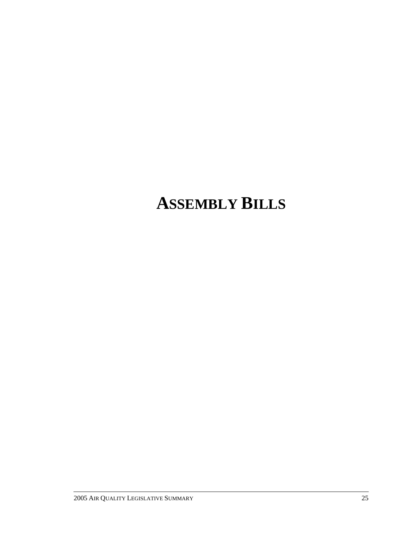# **ASSEMBLY BILLS**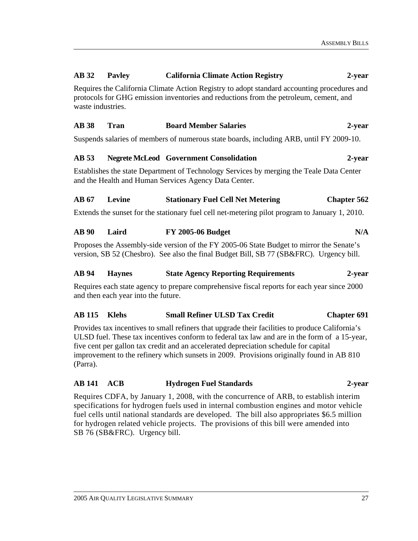#### **AB 32 Pavley California Climate Action Registry 2-year**

Requires the California Climate Action Registry to adopt standard accounting procedures and protocols for GHG emission inventories and reductions from the petroleum, cement, and waste industries.

#### **AB 38 Tran Board Member Salaries 2-year**

Suspends salaries of members of numerous state boards, including ARB, until FY 2009-10.

#### **AB 53 Negrete McLeod Government Consolidation 2-year**

Establishes the state Department of Technology Services by merging the Teale Data Center and the Health and Human Services Agency Data Center.

#### **AB 67 Levine Stationary Fuel Cell Net Metering Chapter 562**

Extends the sunset for the stationary fuel cell net-metering pilot program to January 1, 2010.

#### **AB 90 Laird FY 2005-06 Budget N/A**

Proposes the Assembly-side version of the FY 2005-06 State Budget to mirror the Senate's version, SB 52 (Chesbro). See also the final Budget Bill, SB 77 (SB&FRC). Urgency bill.

#### **AB 94 Haynes State Agency Reporting Requirements 2-year**

Requires each state agency to prepare comprehensive fiscal reports for each year since 2000 and then each year into the future.

#### **AB 115 Klehs Small Refiner ULSD Tax Credit Chapter 691**

Provides tax incentives to small refiners that upgrade their facilities to produce California's ULSD fuel. These tax incentives conform to federal tax law and are in the form of a 15-year, five cent per gallon tax credit and an accelerated depreciation schedule for capital improvement to the refinery which sunsets in 2009. Provisions originally found in AB 810 (Parra).

#### **AB 141 ACB Hydrogen Fuel Standards 2-year**

Requires CDFA, by January 1, 2008, with the concurrence of ARB, to establish interim specifications for hydrogen fuels used in internal combustion engines and motor vehicle fuel cells until national standards are developed. The bill also appropriates \$6.5 million for hydrogen related vehicle projects. The provisions of this bill were amended into SB 76 (SB&FRC). Urgency bill.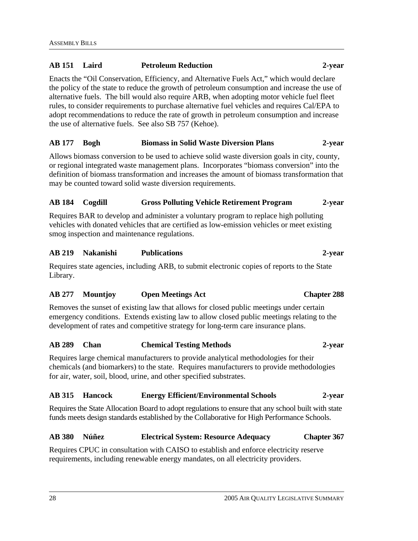# **AB 151 Laird Petroleum Reduction 2-year**

Enacts the "Oil Conservation, Efficiency, and Alternative Fuels Act," which would declare the policy of the state to reduce the growth of petroleum consumption and increase the use of alternative fuels. The bill would also require ARB, when adopting motor vehicle fuel fleet rules, to consider requirements to purchase alternative fuel vehicles and requires Cal/EPA to adopt recommendations to reduce the rate of growth in petroleum consumption and increase the use of alternative fuels. See also SB 757 (Kehoe).

# **AB 177 Bogh Biomass in Solid Waste Diversion Plans 2-year**

Allows biomass conversion to be used to achieve solid waste diversion goals in city, county, or regional integrated waste management plans. Incorporates "biomass conversion" into the definition of biomass transformation and increases the amount of biomass transformation that may be counted toward solid waste diversion requirements.

# **AB 184 Cogdill Gross Polluting Vehicle Retirement Program 2-year**

Requires BAR to develop and administer a voluntary program to replace high polluting vehicles with donated vehicles that are certified as low-emission vehicles or meet existing smog inspection and maintenance regulations.

#### **AB 219 Nakanishi Publications 2-year**

Requires state agencies, including ARB, to submit electronic copies of reports to the State Library.

# **AB 277 Mountjoy Open Meetings Act Chapter 288**

Removes the sunset of existing law that allows for closed public meetings under certain emergency conditions. Extends existing law to allow closed public meetings relating to the development of rates and competitive strategy for long-term care insurance plans.

#### **AB 289 Chan Chemical Testing Methods 2-year**

Requires large chemical manufacturers to provide analytical methodologies for their chemicals (and biomarkers) to the state. Requires manufacturers to provide methodologies for air, water, soil, blood, urine, and other specified substrates.

#### **AB 315 Hancock Energy Efficient/Environmental Schools 2-year**

Requires the State Allocation Board to adopt regulations to ensure that any school built with state funds meets design standards established by the Collaborative for High Performance Schools.

#### **AB 380 Núñez Electrical System: Resource Adequacy Chapter 367**

Requires CPUC in consultation with CAISO to establish and enforce electricity reserve requirements, including renewable energy mandates, on all electricity providers.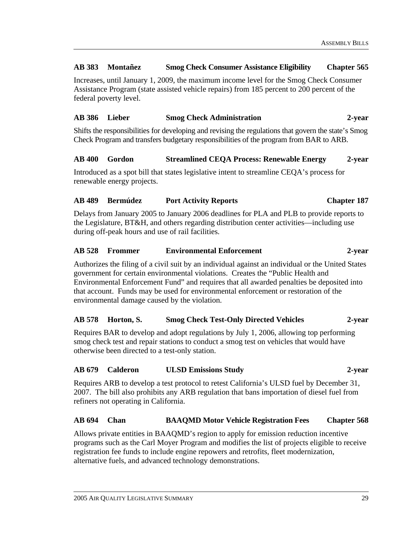## **AB 383 Montañez Smog Check Consumer Assistance Eligibility Chapter 565**

Increases, until January 1, 2009, the maximum income level for the Smog Check Consumer Assistance Program (state assisted vehicle repairs) from 185 percent to 200 percent of the federal poverty level.

## **AB 386 Lieber Smog Check Administration 2-year**

Shifts the responsibilities for developing and revising the regulations that govern the state's Smog Check Program and transfers budgetary responsibilities of the program from BAR to ARB.

## **AB 400 Gordon Streamlined CEQA Process: Renewable Energy 2-year**

Introduced as a spot bill that states legislative intent to streamline CEQA's process for renewable energy projects.

## **AB 489 Bermúdez Port Activity Reports Chapter 187**

Delays from January 2005 to January 2006 deadlines for PLA and PLB to provide reports to the Legislature, BT&H, and others regarding distribution center activities—including use during off-peak hours and use of rail facilities.

#### **AB 528 Frommer Environmental Enforcement 2-year**

Authorizes the filing of a civil suit by an individual against an individual or the United States government for certain environmental violations. Creates the "Public Health and Environmental Enforcement Fund" and requires that all awarded penalties be deposited into that account. Funds may be used for environmental enforcement or restoration of the environmental damage caused by the violation.

# **AB 578 Horton, S. Smog Check Test-Only Directed Vehicles 2-year**

Requires BAR to develop and adopt regulations by July 1, 2006, allowing top performing smog check test and repair stations to conduct a smog test on vehicles that would have otherwise been directed to a test-only station.

#### **AB 679 Calderon ULSD Emissions Study 2-year**

Requires ARB to develop a test protocol to retest California's ULSD fuel by December 31, 2007. The bill also prohibits any ARB regulation that bans importation of diesel fuel from refiners not operating in California.

#### **AB 694 Chan BAAQMD Motor Vehicle Registration Fees Chapter 568**

Allows private entities in BAAQMD's region to apply for emission reduction incentive programs such as the Carl Moyer Program and modifies the list of projects eligible to receive registration fee funds to include engine repowers and retrofits, fleet modernization, alternative fuels, and advanced technology demonstrations.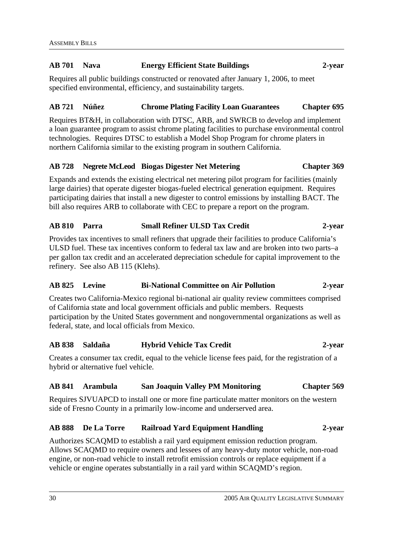# **AB 701 Nava Energy Efficient State Buildings 2-year**

Requires all public buildings constructed or renovated after January 1, 2006, to meet specified environmental, efficiency, and sustainability targets.

# **AB 721 Núñez Chrome Plating Facility Loan Guarantees Chapter 695**

Requires BT&H, in collaboration with DTSC, ARB, and SWRCB to develop and implement a loan guarantee program to assist chrome plating facilities to purchase environmental control technologies. Requires DTSC to establish a Model Shop Program for chrome platers in northern California similar to the existing program in southern California.

# **AB 728 Negrete McLeod Biogas Digester Net Metering Chapter 369**

Expands and extends the existing electrical net metering pilot program for facilities (mainly large dairies) that operate digester biogas-fueled electrical generation equipment. Requires participating dairies that install a new digester to control emissions by installing BACT. The bill also requires ARB to collaborate with CEC to prepare a report on the program.

# **AB 810 Parra Small Refiner ULSD Tax Credit 2-year**

Provides tax incentives to small refiners that upgrade their facilities to produce California's ULSD fuel. These tax incentives conform to federal tax law and are broken into two parts–a per gallon tax credit and an accelerated depreciation schedule for capital improvement to the refinery. See also AB 115 (Klehs).

# **AB 825 Levine Bi-National Committee on Air Pollution 2-year**

Creates two California-Mexico regional bi-national air quality review committees comprised of California state and local government officials and public members. Requests participation by the United States government and nongovernmental organizations as well as federal, state, and local officials from Mexico.

# **AB 838 Saldaña Hybrid Vehicle Tax Credit 2-year**

Creates a consumer tax credit, equal to the vehicle license fees paid, for the registration of a hybrid or alternative fuel vehicle.

#### **AB 841 Arambula San Joaquin Valley PM Monitoring Chapter 569**

Requires SJVUAPCD to install one or more fine particulate matter monitors on the western side of Fresno County in a primarily low-income and underserved area.

# **AB 888 De La Torre Railroad Yard Equipment Handling 2-year**

Authorizes SCAQMD to establish a rail yard equipment emission reduction program. Allows SCAQMD to require owners and lessees of any heavy-duty motor vehicle, non-road engine, or non-road vehicle to install retrofit emission controls or replace equipment if a vehicle or engine operates substantially in a rail yard within SCAQMD's region.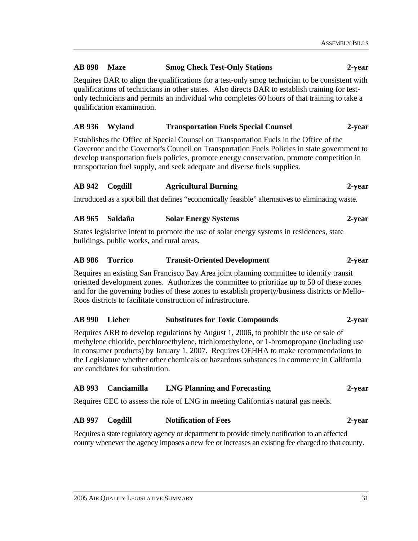# **AB 898 Maze Smog Check Test-Only Stations 2-year**

Requires BAR to align the qualifications for a test-only smog technician to be consistent with qualifications of technicians in other states. Also directs BAR to establish training for testonly technicians and permits an individual who completes 60 hours of that training to take a qualification examination.

# **AB 936 Wyland Transportation Fuels Special Counsel 2-year**

Establishes the Office of Special Counsel on Transportation Fuels in the Office of the Governor and the Governor's Council on Transportation Fuels Policies in state government to develop transportation fuels policies, promote energy conservation, promote competition in transportation fuel supply, and seek adequate and diverse fuels supplies.

#### **AB 942 Cogdill Agricultural Burning 2-year**

Introduced as a spot bill that defines "economically feasible" alternatives to eliminating waste.

#### **AB 965 Saldaña Solar Energy Systems 2-year**

States legislative intent to promote the use of solar energy systems in residences, state buildings, public works, and rural areas.

#### **AB 986 Torrico Transit-Oriented Development 2-year**

Requires an existing San Francisco Bay Area joint planning committee to identify transit oriented development zones. Authorizes the committee to prioritize up to 50 of these zones and for the governing bodies of these zones to establish property/business districts or Mello-Roos districts to facilitate construction of infrastructure.

#### **AB 990 Lieber Substitutes for Toxic Compounds 2-year**

Requires ARB to develop regulations by August 1, 2006, to prohibit the use or sale of methylene chloride, perchloroethylene, trichloroethylene, or 1-bromopropane (including use in consumer products) by January 1, 2007. Requires OEHHA to make recommendations to the Legislature whether other chemicals or hazardous substances in commerce in California are candidates for substitution.

#### **AB 993 Canciamilla LNG Planning and Forecasting 2-year**

Requires CEC to assess the role of LNG in meeting California's natural gas needs.

### **AB 997 Cogdill Notification of Fees 2-year**

Requires a state regulatory agency or department to provide timely notification to an affected county whenever the agency imposes a new fee or increases an existing fee charged to that county.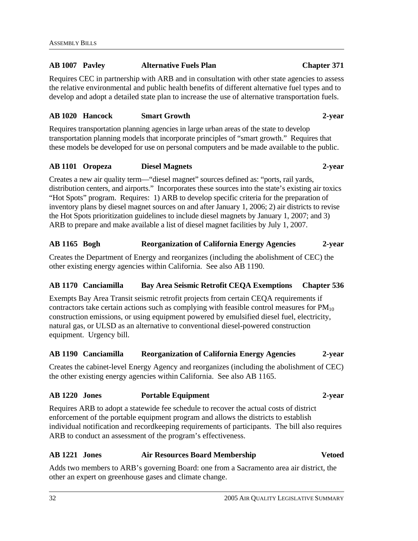### **AB 1007 Pavley Alternative Fuels Plan Chapter 371**

Requires CEC in partnership with ARB and in consultation with other state agencies to assess the relative environmental and public health benefits of different alternative fuel types and to develop and adopt a detailed state plan to increase the use of alternative transportation fuels.

#### **AB 1020 Hancock Smart Growth 2-year**

Requires transportation planning agencies in large urban areas of the state to develop transportation planning models that incorporate principles of "smart growth." Requires that these models be developed for use on personal computers and be made available to the public.

#### **AB 1101 Oropeza Diesel Magnets 2-year**

Creates a new air quality term—"diesel magnet" sources defined as: "ports, rail yards, distribution centers, and airports." Incorporates these sources into the state's existing air toxics "Hot Spots" program. Requires: 1) ARB to develop specific criteria for the preparation of inventory plans by diesel magnet sources on and after January 1, 2006; 2) air districts to revise the Hot Spots prioritization guidelines to include diesel magnets by January 1, 2007; and 3) ARB to prepare and make available a list of diesel magnet facilities by July 1, 2007.

#### **AB 1165 Bogh Reorganization of California Energy Agencies 2-year**

Creates the Department of Energy and reorganizes (including the abolishment of CEC) the other existing energy agencies within California. See also AB 1190.

# **AB 1170 Canciamilla Bay Area Seismic Retrofit CEQA Exemptions Chapter 536**

Exempts Bay Area Transit seismic retrofit projects from certain CEQA requirements if contractors take certain actions such as complying with feasible control measures for  $PM_{10}$ construction emissions, or using equipment powered by emulsified diesel fuel, electricity, natural gas, or ULSD as an alternative to conventional diesel-powered construction equipment. Urgency bill.

#### **AB 1190 Canciamilla Reorganization of California Energy Agencies 2-year**

Creates the cabinet-level Energy Agency and reorganizes (including the abolishment of CEC) the other existing energy agencies within California. See also AB 1165.

# **AB 1220 Jones Portable Equipment 2-year**

Requires ARB to adopt a statewide fee schedule to recover the actual costs of district enforcement of the portable equipment program and allows the districts to establish individual notification and recordkeeping requirements of participants. The bill also requires ARB to conduct an assessment of the program's effectiveness.

#### **AB 1221 Jones Air Resources Board Membership Vetoed**

Adds two members to ARB's governing Board: one from a Sacramento area air district, the other an expert on greenhouse gases and climate change.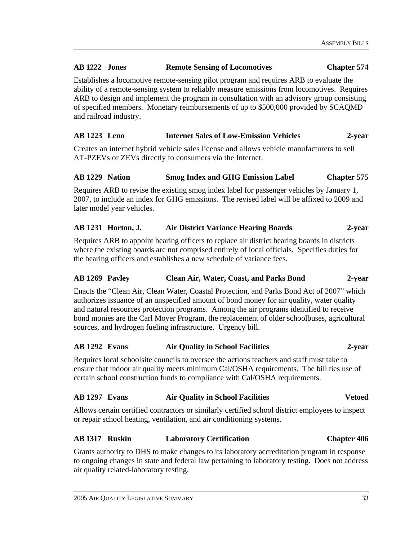# **AB 1222 Jones Remote Sensing of Locomotives Chapter 574**

Establishes a locomotive remote-sensing pilot program and requires ARB to evaluate the ability of a remote-sensing system to reliably measure emissions from locomotives. Requires ARB to design and implement the program in consultation with an advisory group consisting of specified members. Monetary reimbursements of up to \$500,000 provided by SCAQMD and railroad industry.

# **AB 1223 Leno Internet Sales of Low-Emission Vehicles 2-year**

Creates an internet hybrid vehicle sales license and allows vehicle manufacturers to sell AT-PZEVs or ZEVs directly to consumers via the Internet.

# **AB 1229 Nation Smog Index and GHG Emission Label Chapter 575**

Requires ARB to revise the existing smog index label for passenger vehicles by January 1, 2007, to include an index for GHG emissions. The revised label will be affixed to 2009 and later model year vehicles.

# **AB 1231 Horton, J. Air District Variance Hearing Boards 2-year**

Requires ARB to appoint hearing officers to replace air district hearing boards in districts where the existing boards are not comprised entirely of local officials. Specifies duties for the hearing officers and establishes a new schedule of variance fees.

# **AB 1269 Pavley Clean Air, Water, Coast, and Parks Bond 2-year**

Enacts the "Clean Air, Clean Water, Coastal Protection, and Parks Bond Act of 2007" which authorizes issuance of an unspecified amount of bond money for air quality, water quality and natural resources protection programs. Among the air programs identified to receive bond monies are the Carl Moyer Program, the replacement of older schoolbuses, agricultural sources, and hydrogen fueling infrastructure. Urgency bill.

#### **AB 1292 Evans Air Quality in School Facilities 2-year**

Requires local schoolsite councils to oversee the actions teachers and staff must take to ensure that indoor air quality meets minimum Cal/OSHA requirements. The bill ties use of certain school construction funds to compliance with Cal/OSHA requirements.

# **AB 1297 Evans Air Quality in School Facilities Vetoed**

Allows certain certified contractors or similarly certified school district employees to inspect or repair school heating, ventilation, and air conditioning systems.

# **AB 1317 Ruskin Laboratory Certification Chapter 406**

Grants authority to DHS to make changes to its laboratory accreditation program in response to ongoing changes in state and federal law pertaining to laboratory testing. Does not address air quality related-laboratory testing.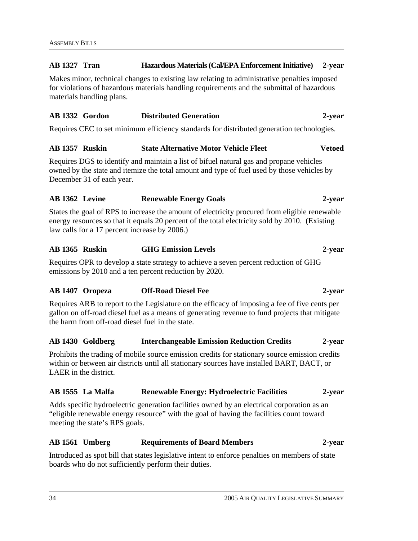# **AB 1327 Tran Hazardous Materials (Cal/EPA Enforcement Initiative) 2-year**

Makes minor, technical changes to existing law relating to administrative penalties imposed for violations of hazardous materials handling requirements and the submittal of hazardous materials handling plans.

# **AB 1332 Gordon Distributed Generation 2-year**

Requires CEC to set minimum efficiency standards for distributed generation technologies.

# **AB 1357 Ruskin State Alternative Motor Vehicle Fleet Vetoed**

Requires DGS to identify and maintain a list of bifuel natural gas and propane vehicles owned by the state and itemize the total amount and type of fuel used by those vehicles by December 31 of each year.

# **AB 1362 Levine Renewable Energy Goals 2-year**

States the goal of RPS to increase the amount of electricity procured from eligible renewable energy resources so that it equals 20 percent of the total electricity sold by 2010. (Existing law calls for a 17 percent increase by 2006.)

# **AB 1365 Ruskin GHG Emission Levels 2-year**

Requires OPR to develop a state strategy to achieve a seven percent reduction of GHG emissions by 2010 and a ten percent reduction by 2020.

# **AB 1407 Oropeza Off-Road Diesel Fee 2-year**

Requires ARB to report to the Legislature on the efficacy of imposing a fee of five cents per gallon on off-road diesel fuel as a means of generating revenue to fund projects that mitigate the harm from off-road diesel fuel in the state.

#### **AB 1430 Goldberg Interchangeable Emission Reduction Credits 2-year**

Prohibits the trading of mobile source emission credits for stationary source emission credits within or between air districts until all stationary sources have installed BART, BACT, or LAER in the district.

#### **AB 1555 La Malfa Renewable Energy: Hydroelectric Facilities 2-year**

Adds specific hydroelectric generation facilities owned by an electrical corporation as an "eligible renewable energy resource" with the goal of having the facilities count toward meeting the state's RPS goals.

# **AB 1561 Umberg Requirements of Board Members 2-year**

Introduced as spot bill that states legislative intent to enforce penalties on members of state boards who do not sufficiently perform their duties.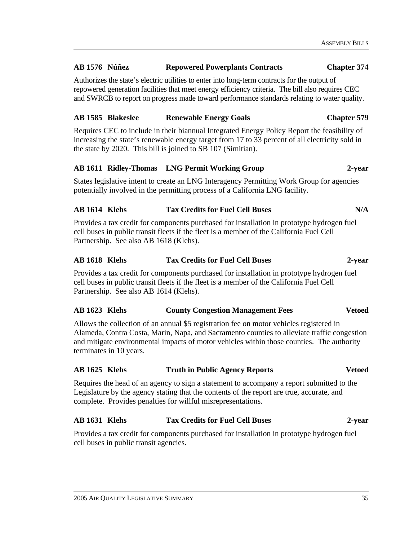#### **AB 1576 Núñez Repowered Powerplants Contracts Chapter 374**

Authorizes the state's electric utilities to enter into long-term contracts for the output of repowered generation facilities that meet energy efficiency criteria. The bill also requires CEC and SWRCB to report on progress made toward performance standards relating to water quality.

### **AB 1585 Blakeslee Renewable Energy Goals Chapter 579**

Requires CEC to include in their biannual Integrated Energy Policy Report the feasibility of increasing the state's renewable energy target from 17 to 33 percent of all electricity sold in the state by 2020. This bill is joined to SB 107 (Simitian).

#### **AB 1611 Ridley-Thomas LNG Permit Working Group 2-year**

States legislative intent to create an LNG Interagency Permitting Work Group for agencies potentially involved in the permitting process of a California LNG facility.

#### **AB 1614 Klehs Tax Credits for Fuel Cell Buses N/A**

Provides a tax credit for components purchased for installation in prototype hydrogen fuel cell buses in public transit fleets if the fleet is a member of the California Fuel Cell Partnership. See also AB 1618 (Klehs).

# **AB 1618 Klehs Tax Credits for Fuel Cell Buses 2-year**

Provides a tax credit for components purchased for installation in prototype hydrogen fuel cell buses in public transit fleets if the fleet is a member of the California Fuel Cell Partnership. See also AB 1614 (Klehs).

#### **AB 1623 Klehs County Congestion Management Fees Vetoed**

Allows the collection of an annual \$5 registration fee on motor vehicles registered in Alameda, Contra Costa, Marin, Napa, and Sacramento counties to alleviate traffic congestion and mitigate environmental impacts of motor vehicles within those counties. The authority terminates in 10 years.

#### **AB 1625 Klehs Truth in Public Agency Reports Vetoed**

Requires the head of an agency to sign a statement to accompany a report submitted to the Legislature by the agency stating that the contents of the report are true, accurate, and complete. Provides penalties for willful misrepresentations.

# **AB 1631 Klehs Tax Credits for Fuel Cell Buses 2-year**

Provides a tax credit for components purchased for installation in prototype hydrogen fuel cell buses in public transit agencies.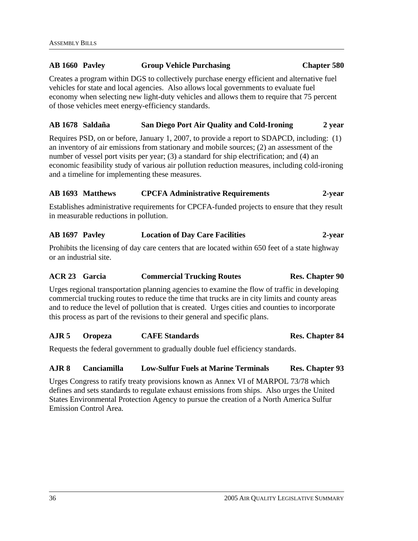# **AB 1660 Pavley Group Vehicle Purchasing Chapter 580**

Creates a program within DGS to collectively purchase energy efficient and alternative fuel vehicles for state and local agencies. Also allows local governments to evaluate fuel economy when selecting new light-duty vehicles and allows them to require that 75 percent of those vehicles meet energy-efficiency standards.

#### **AB 1678 Saldaña San Diego Port Air Quality and Cold-Ironing 2 year**

Requires PSD, on or before, January 1, 2007, to provide a report to SDAPCD, including: (1) an inventory of air emissions from stationary and mobile sources; (2) an assessment of the number of vessel port visits per year; (3) a standard for ship electrification; and (4) an economic feasibility study of various air pollution reduction measures, including cold-ironing and a timeline for implementing these measures.

# **AB 1693 Matthews CPCFA Administrative Requirements 2-year**

Establishes administrative requirements for CPCFA-funded projects to ensure that they result in measurable reductions in pollution.

#### **AB 1697 Pavley Location of Day Care Facilities 2-year**

Prohibits the licensing of day care centers that are located within 650 feet of a state highway or an industrial site.

### ACR 23 Garcia **Commercial Trucking Routes** Res. Chapter 90

Urges regional transportation planning agencies to examine the flow of traffic in developing commercial trucking routes to reduce the time that trucks are in city limits and county areas and to reduce the level of pollution that is created. Urges cities and counties to incorporate this process as part of the revisions to their general and specific plans.

#### **AJR 5 Oropeza CAFE Standards Res. Chapter 84**

Requests the federal government to gradually double fuel efficiency standards.

# **AJR 8 Canciamilla Low-Sulfur Fuels at Marine Terminals Res. Chapter 93**

Urges Congress to ratify treaty provisions known as Annex VI of MARPOL 73/78 which defines and sets standards to regulate exhaust emissions from ships. Also urges the United States Environmental Protection Agency to pursue the creation of a North America Sulfur Emission Control Area.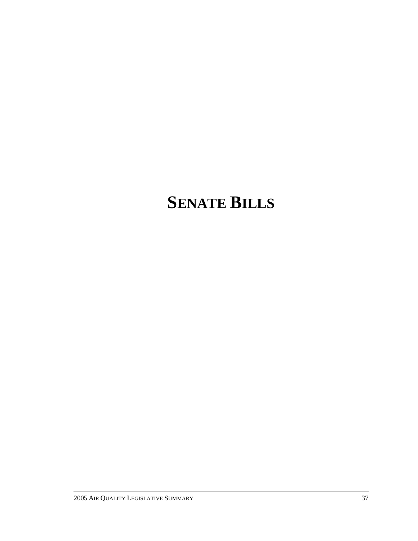# **SENATE BILLS**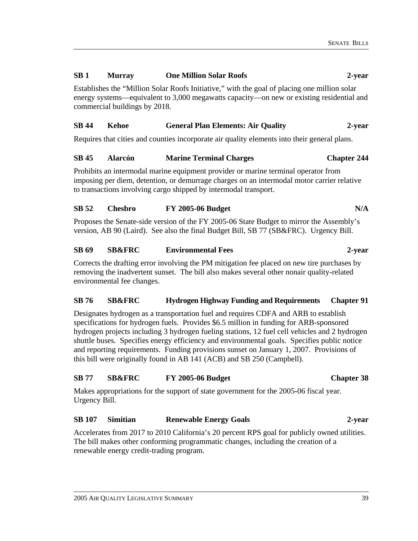# **SB 1 Murray One Million Solar Roofs 2-year**

Establishes the "Million Solar Roofs Initiative," with the goal of placing one million solar energy systems—equivalent to 3,000 megawatts capacity—on new or existing residential and commercial buildings by 2018.

# **SB 44 Kehoe General Plan Elements: Air Quality 2-year**

Requires that cities and counties incorporate air quality elements into their general plans.

# **SB 45 Alarcón Marine Terminal Charges Chapter 244**

Prohibits an intermodal marine equipment provider or marine terminal operator from imposing per diem, detention, or demurrage charges on an intermodal motor carrier relative to transactions involving cargo shipped by intermodal transport.

# **SB 52 Chesbro FY 2005-06 Budget N/A**

Proposes the Senate-side version of the FY 2005-06 State Budget to mirror the Assembly's version, AB 90 (Laird). See also the final Budget Bill, SB 77 (SB&FRC). Urgency Bill.

# **SB 69 SB&FRC Environmental Fees 2-year**

Corrects the drafting error involving the PM mitigation fee placed on new tire purchases by removing the inadvertent sunset. The bill also makes several other nonair quality-related environmental fee changes.

# **SB 76 SB&FRC Hydrogen Highway Funding and Requirements Chapter 91**

Designates hydrogen as a transportation fuel and requires CDFA and ARB to establish specifications for hydrogen fuels. Provides \$6.5 million in funding for ARB-sponsored hydrogen projects including 3 hydrogen fueling stations, 12 fuel cell vehicles and 2 hydrogen shuttle buses. Specifies energy efficiency and environmental goals. Specifies public notice and reporting requirements. Funding provisions sunset on January 1, 2007. Provisions of this bill were originally found in AB 141 (ACB) and SB 250 (Campbell).

# **SB 77 SB&FRC FY 2005-06 Budget Chapter 38**

Makes appropriations for the support of state government for the 2005-06 fiscal year. Urgency Bill.

# **SB 107 Simitian Renewable Energy Goals 2-year**

Accelerates from 2017 to 2010 California's 20 percent RPS goal for publicly owned utilities. The bill makes other conforming programmatic changes, including the creation of a renewable energy credit-trading program.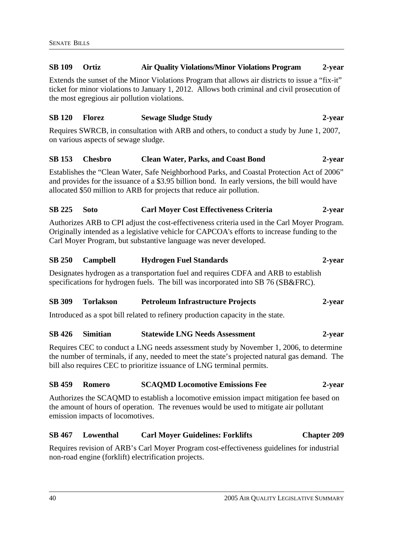# Extends the sunset of the Minor Violations Program that allows air districts to issue a "fix-it" ticket for minor violations to January 1, 2012. Allows both criminal and civil prosecution of the most egregious air pollution violations. **SB 120 Florez Sewage Sludge Study 2-year**  Requires SWRCB, in consultation with ARB and others, to conduct a study by June 1, 2007, on various aspects of sewage sludge. **SB 153 Chesbro Clean Water, Parks, and Coast Bond 2-year**  Establishes the "Clean Water, Safe Neighborhood Parks, and Coastal Protection Act of 2006" and provides for the issuance of a \$3.95 billion bond. In early versions, the bill would have allocated \$50 million to ARB for projects that reduce air pollution. **SB 225 Soto Carl Moyer Cost Effectiveness Criteria 2-year**  Authorizes ARB to CPI adjust the cost-effectiveness criteria used in the Carl Moyer Program. Originally intended as a legislative vehicle for CAPCOA's efforts to increase funding to the Carl Moyer Program, but substantive language was never developed. **SB 250 Campbell Hydrogen Fuel Standards 2-year**  Designates hydrogen as a transportation fuel and requires CDFA and ARB to establish specifications for hydrogen fuels. The bill was incorporated into SB 76 (SB&FRC). **SB 309 Torlakson Petroleum Infrastructure Projects 2-year**  Introduced as a spot bill related to refinery production capacity in the state. **SB 426 Simitian Statewide LNG Needs Assessment 2-year**  Requires CEC to conduct a LNG needs assessment study by November 1, 2006, to determine the number of terminals, if any, needed to meet the state's projected natural gas demand. The bill also requires CEC to prioritize issuance of LNG terminal permits. **SB 459 Romero SCAQMD Locomotive Emissions Fee 2-year**  Authorizes the SCAQMD to establish a locomotive emission impact mitigation fee based on

**SB 109 Ortiz Air Quality Violations/Minor Violations Program 2-year** 

the amount of hours of operation. The revenues would be used to mitigate air pollutant emission impacts of locomotives.

# **SB 467 Lowenthal Carl Moyer Guidelines: Forklifts Chapter 209**

Requires revision of ARB's Carl Moyer Program cost-effectiveness guidelines for industrial non-road engine (forklift) electrification projects.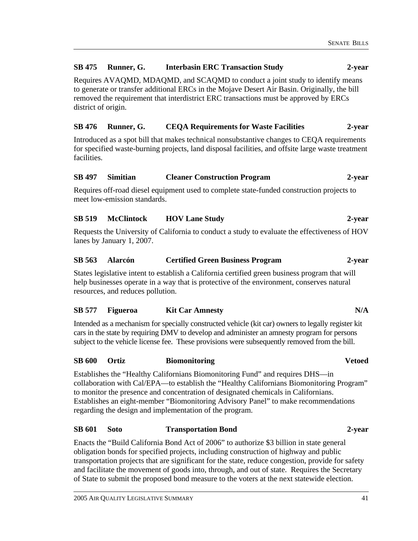# **SB 475 Runner, G. Interbasin ERC Transaction Study 2-year**

Requires AVAQMD, MDAQMD, and SCAQMD to conduct a joint study to identify means to generate or transfer additional ERCs in the Mojave Desert Air Basin. Originally, the bill removed the requirement that interdistrict ERC transactions must be approved by ERCs district of origin.

# **SB 476 Runner, G. CEQA Requirements for Waste Facilities 2-year**

Introduced as a spot bill that makes technical nonsubstantive changes to CEQA requirements for specified waste-burning projects, land disposal facilities, and offsite large waste treatment facilities.

# **SB 497 Simitian Cleaner Construction Program 2-year**

Requires off-road diesel equipment used to complete state-funded construction projects to meet low-emission standards.

# **SB 519 McClintock HOV Lane Study 2-year**

Requests the University of California to conduct a study to evaluate the effectiveness of HOV lanes by January 1, 2007.

# **SB 563 Alarcón Certified Green Business Program 2-year**

States legislative intent to establish a California certified green business program that will help businesses operate in a way that is protective of the environment, conserves natural resources, and reduces pollution.

# **SB 577 Figueroa Kit Car Amnesty N/A**

Intended as a mechanism for specially constructed vehicle (kit car) owners to legally register kit cars in the state by requiring DMV to develop and administer an amnesty program for persons subject to the vehicle license fee. These provisions were subsequently removed from the bill.

#### **SB 600 Ortiz Biomonitoring Vetoed**

Establishes the "Healthy Californians Biomonitoring Fund" and requires DHS—in collaboration with Cal/EPA—to establish the "Healthy Californians Biomonitoring Program" to monitor the presence and concentration of designated chemicals in Californians. Establishes an eight-member "Biomonitoring Advisory Panel" to make recommendations regarding the design and implementation of the program.

#### **SB 601 Soto Transportation Bond 2-year**

Enacts the "Build California Bond Act of 2006" to authorize \$3 billion in state general obligation bonds for specified projects, including construction of highway and public transportation projects that are significant for the state, reduce congestion, provide for safety and facilitate the movement of goods into, through, and out of state. Requires the Secretary of State to submit the proposed bond measure to the voters at the next statewide election.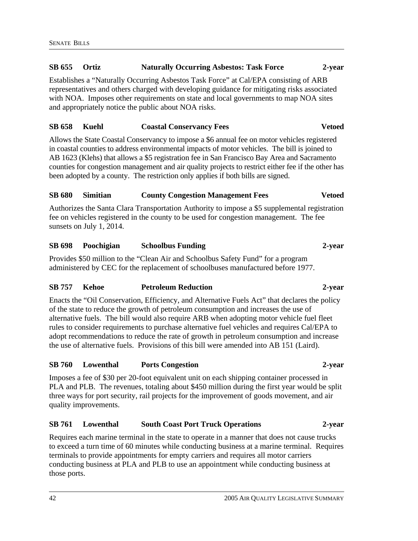# **SB 655 Ortiz Naturally Occurring Asbestos: Task Force 2-year**

Establishes a "Naturally Occurring Asbestos Task Force" at Cal/EPA consisting of ARB representatives and others charged with developing guidance for mitigating risks associated with NOA. Imposes other requirements on state and local governments to map NOA sites and appropriately notice the public about NOA risks.

# **SB 658 Kuehl Coastal Conservancy Fees Vetoed**

Allows the State Coastal Conservancy to impose a \$6 annual fee on motor vehicles registered in coastal counties to address environmental impacts of motor vehicles. The bill is joined to AB 1623 (Klehs) that allows a \$5 registration fee in San Francisco Bay Area and Sacramento counties for congestion management and air quality projects to restrict either fee if the other has been adopted by a county. The restriction only applies if both bills are signed.

# **SB 680 Simitian County Congestion Management Fees Vetoed**

Authorizes the Santa Clara Transportation Authority to impose a \$5 supplemental registration fee on vehicles registered in the county to be used for congestion management. The fee sunsets on July 1, 2014.

# **SB 698 Poochigian Schoolbus Funding 2-year**

Provides \$50 million to the "Clean Air and Schoolbus Safety Fund" for a program administered by CEC for the replacement of schoolbuses manufactured before 1977.

#### **SB 757 Kehoe Petroleum Reduction 2-year**

Enacts the "Oil Conservation, Efficiency, and Alternative Fuels Act" that declares the policy of the state to reduce the growth of petroleum consumption and increases the use of alternative fuels. The bill would also require ARB when adopting motor vehicle fuel fleet rules to consider requirements to purchase alternative fuel vehicles and requires Cal/EPA to adopt recommendations to reduce the rate of growth in petroleum consumption and increase the use of alternative fuels. Provisions of this bill were amended into AB 151 (Laird).

#### **SB 760 Lowenthal Ports Congestion 2-year**

Imposes a fee of \$30 per 20-foot equivalent unit on each shipping container processed in PLA and PLB. The revenues, totaling about \$450 million during the first year would be split three ways for port security, rail projects for the improvement of goods movement, and air quality improvements.

# **SB 761 Lowenthal South Coast Port Truck Operations 2-year**

Requires each marine terminal in the state to operate in a manner that does not cause trucks to exceed a turn time of 60 minutes while conducting business at a marine terminal. Requires terminals to provide appointments for empty carriers and requires all motor carriers conducting business at PLA and PLB to use an appointment while conducting business at those ports.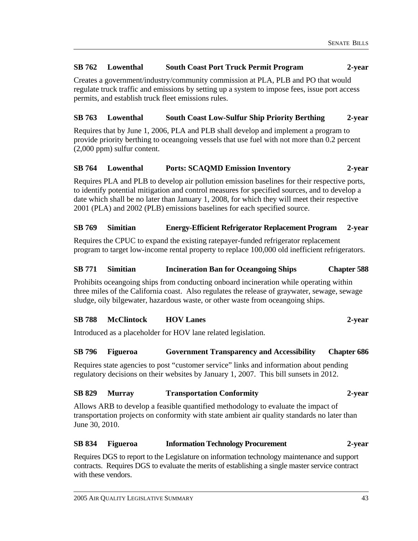# **SB 762 Lowenthal South Coast Port Truck Permit Program 2-year**

Creates a government/industry/community commission at PLA, PLB and PO that would regulate truck traffic and emissions by setting up a system to impose fees, issue port access permits, and establish truck fleet emissions rules.

# **SB 763 Lowenthal South Coast Low-Sulfur Ship Priority Berthing 2-year**

Requires that by June 1, 2006, PLA and PLB shall develop and implement a program to provide priority berthing to oceangoing vessels that use fuel with not more than 0.2 percent (2,000 ppm) sulfur content.

# **SB 764 Lowenthal Ports: SCAQMD Emission Inventory 2-year**

Requires PLA and PLB to develop air pollution emission baselines for their respective ports, to identify potential mitigation and control measures for specified sources, and to develop a date which shall be no later than January 1, 2008, for which they will meet their respective 2001 (PLA) and 2002 (PLB) emissions baselines for each specified source.

# **SB 769 Simitian Energy-Efficient Refrigerator Replacement Program 2-year**

Requires the CPUC to expand the existing ratepayer-funded refrigerator replacement program to target low-income rental property to replace 100,000 old inefficient refrigerators.

# **SB 771 Simitian Incineration Ban for Oceangoing Ships Chapter 588**

Prohibits oceangoing ships from conducting onboard incineration while operating within three miles of the California coast. Also regulates the release of graywater, sewage, sewage sludge, oily bilgewater, hazardous waste, or other waste from oceangoing ships.

# **SB 788 McClintock HOV Lanes 2-year**

Introduced as a placeholder for HOV lane related legislation.

#### **SB 796 Figueroa Government Transparency and Accessibility Chapter 686**

Requires state agencies to post "customer service" links and information about pending regulatory decisions on their websites by January 1, 2007. This bill sunsets in 2012.

#### **SB 829 Murray Transportation Conformity 2-year**

Allows ARB to develop a feasible quantified methodology to evaluate the impact of transportation projects on conformity with state ambient air quality standards no later than June 30, 2010.

#### **SB 834 Figueroa Information Technology Procurement 2-year**

Requires DGS to report to the Legislature on information technology maintenance and support contracts. Requires DGS to evaluate the merits of establishing a single master service contract with these vendors.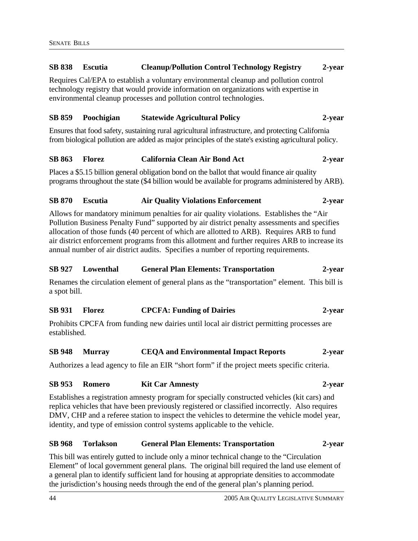# **SB 838 Escutia Cleanup/Pollution Control Technology Registry 2-year**

Requires Cal/EPA to establish a voluntary environmental cleanup and pollution control technology registry that would provide information on organizations with expertise in environmental cleanup processes and pollution control technologies.

# **SB 859 Poochigian Statewide Agricultural Policy 2-year**

Ensures that food safety, sustaining rural agricultural infrastructure, and protecting California from biological pollution are added as major principles of the state's existing agricultural policy.

#### **SB 863 Florez California Clean Air Bond Act 2-year**

Places a \$5.15 billion general obligation bond on the ballot that would finance air quality programs throughout the state (\$4 billion would be available for programs administered by ARB).

#### **SB 870 Escutia Air Quality Violations Enforcement 2-year**

Allows for mandatory minimum penalties for air quality violations. Establishes the "Air Pollution Business Penalty Fund" supported by air district penalty assessments and specifies allocation of those funds (40 percent of which are allotted to ARB). Requires ARB to fund air district enforcement programs from this allotment and further requires ARB to increase its annual number of air district audits. Specifies a number of reporting requirements.

#### **SB 927 Lowenthal General Plan Elements: Transportation 2-year**

Renames the circulation element of general plans as the "transportation" element. This bill is a spot bill.

# **SB 931 Florez CPCFA: Funding of Dairies 2-year**

Prohibits CPCFA from funding new dairies until local air district permitting processes are established.

#### **SB 948 Murray CEQA and Environmental Impact Reports 2-year**

Authorizes a lead agency to file an EIR "short form" if the project meets specific criteria.

#### **SB 953 Romero Kit Car Amnesty 2-year**

Establishes a registration amnesty program for specially constructed vehicles (kit cars) and replica vehicles that have been previously registered or classified incorrectly. Also requires DMV, CHP and a referee station to inspect the vehicles to determine the vehicle model year, identity, and type of emission control systems applicable to the vehicle.

#### **SB 968 Torlakson General Plan Elements: Transportation 2-year**

This bill was entirely gutted to include only a minor technical change to the "Circulation Element" of local government general plans. The original bill required the land use element of a general plan to identify sufficient land for housing at appropriate densities to accommodate the jurisdiction's housing needs through the end of the general plan's planning period.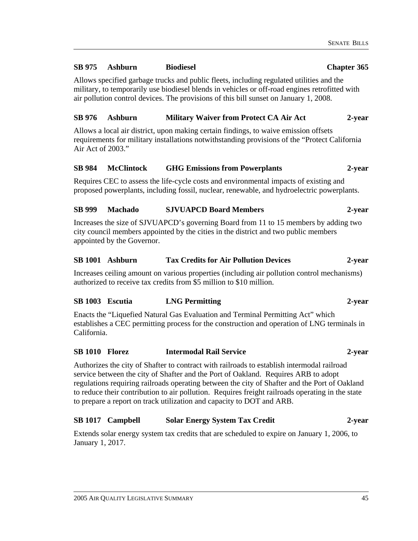### **SB 975 Ashburn Biodiesel Chapter 365**

Allows specified garbage trucks and public fleets, including regulated utilities and the military, to temporarily use biodiesel blends in vehicles or off-road engines retrofitted with air pollution control devices. The provisions of this bill sunset on January 1, 2008.

# **SB 976 Ashburn Military Waiver from Protect CA Air Act 2-year**

Allows a local air district, upon making certain findings, to waive emission offsets requirements for military installations notwithstanding provisions of the "Protect California Air Act of 2003."

# **SB 984 McClintock GHG Emissions from Powerplants 2-year**

Requires CEC to assess the life-cycle costs and environmental impacts of existing and proposed powerplants, including fossil, nuclear, renewable, and hydroelectric powerplants.

# **SB 999 Machado SJVUAPCD Board Members 2-year**

Increases the size of SJVUAPCD's governing Board from 11 to 15 members by adding two city council members appointed by the cities in the district and two public members appointed by the Governor.

# **SB 1001 Ashburn Tax Credits for Air Pollution Devices 2-year**

Increases ceiling amount on various properties (including air pollution control mechanisms) authorized to receive tax credits from \$5 million to \$10 million.

#### **SB 1003 Escutia LNG Permitting 2-year**

Enacts the "Liquefied Natural Gas Evaluation and Terminal Permitting Act" which establishes a CEC permitting process for the construction and operation of LNG terminals in California.

#### **SB 1010 Florez Intermodal Rail Service 2-year**

Authorizes the city of Shafter to contract with railroads to establish intermodal railroad service between the city of Shafter and the Port of Oakland. Requires ARB to adopt regulations requiring railroads operating between the city of Shafter and the Port of Oakland to reduce their contribution to air pollution. Requires freight railroads operating in the state to prepare a report on track utilization and capacity to DOT and ARB.

# **SB 1017 Campbell Solar Energy System Tax Credit 2-year**

Extends solar energy system tax credits that are scheduled to expire on January 1, 2006, to January 1, 2017.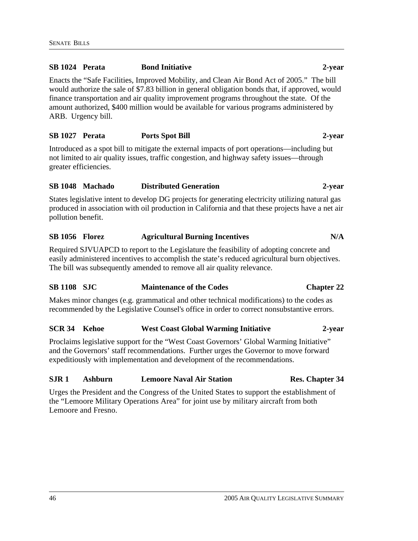### **SB 1024 Perata Bond Initiative 2-year**

Enacts the "Safe Facilities, Improved Mobility, and Clean Air Bond Act of 2005." The bill would authorize the sale of \$7.83 billion in general obligation bonds that, if approved, would finance transportation and air quality improvement programs throughout the state. Of the amount authorized, \$400 million would be available for various programs administered by ARB. Urgency bill.

#### **SB 1027 Perata Ports Spot Bill 2-year**

Introduced as a spot bill to mitigate the external impacts of port operations—including but not limited to air quality issues, traffic congestion, and highway safety issues—through greater efficiencies.

### **SB 1048 Machado Distributed Generation 2-year**

States legislative intent to develop DG projects for generating electricity utilizing natural gas produced in association with oil production in California and that these projects have a net air pollution benefit.

#### SB 1056 Florez **Agricultural Burning Incentives** N/A

Required SJVUAPCD to report to the Legislature the feasibility of adopting concrete and easily administered incentives to accomplish the state's reduced agricultural burn objectives. The bill was subsequently amended to remove all air quality relevance.

# **SB 1108 SJC Maintenance of the Codes Chapter 22**

Makes minor changes (e.g. grammatical and other technical modifications) to the codes as recommended by the Legislative Counsel's office in order to correct nonsubstantive errors.

### **SCR 34 Kehoe West Coast Global Warming Initiative 2-year**

Proclaims legislative support for the "West Coast Governors' Global Warming Initiative" and the Governors' staff recommendations. Further urges the Governor to move forward expeditiously with implementation and development of the recommendations.

# **SJR 1 Ashburn Lemoore Naval Air Station Res. Chapter 34**

Urges the President and the Congress of the United States to support the establishment of the "Lemoore Military Operations Area" for joint use by military aircraft from both Lemoore and Fresno.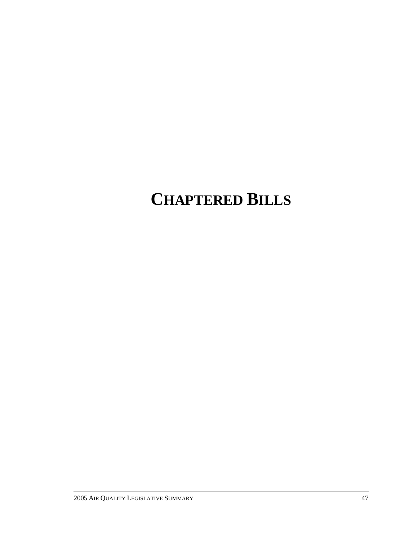# **CHAPTERED BILLS**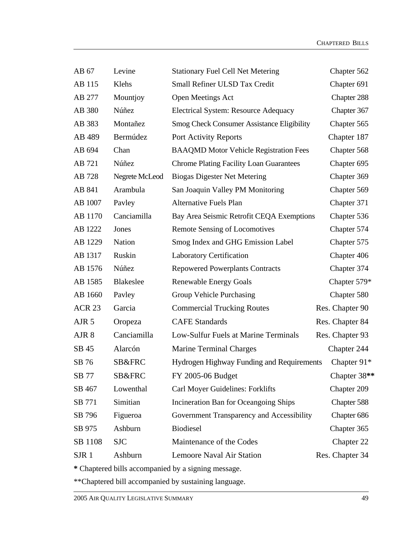| AB 67             | Levine           | <b>Stationary Fuel Cell Net Metering</b>          | Chapter 562     |
|-------------------|------------------|---------------------------------------------------|-----------------|
| AB 115            | Klehs            | Small Refiner ULSD Tax Credit                     | Chapter 691     |
| AB 277            | Mountjoy         | Open Meetings Act                                 | Chapter 288     |
| AB 380            | Núñez            | <b>Electrical System: Resource Adequacy</b>       | Chapter 367     |
| AB 383            | Montañez         | <b>Smog Check Consumer Assistance Eligibility</b> | Chapter 565     |
| AB 489            | Bermúdez         | Port Activity Reports                             | Chapter 187     |
| AB 694            | Chan             | <b>BAAQMD Motor Vehicle Registration Fees</b>     | Chapter 568     |
| AB 721            | Núñez            | <b>Chrome Plating Facility Loan Guarantees</b>    | Chapter 695     |
| AB 728            | Negrete McLeod   | <b>Biogas Digester Net Metering</b>               | Chapter 369     |
| AB 841            | Arambula         | San Joaquin Valley PM Monitoring                  | Chapter 569     |
| AB 1007           | Pavley           | <b>Alternative Fuels Plan</b>                     | Chapter 371     |
| AB 1170           | Canciamilla      | Bay Area Seismic Retrofit CEQA Exemptions         | Chapter 536     |
| AB 1222           | Jones            | Remote Sensing of Locomotives                     | Chapter 574     |
| AB 1229           | Nation           | Smog Index and GHG Emission Label                 | Chapter 575     |
| AB 1317           | Ruskin           | <b>Laboratory Certification</b>                   | Chapter 406     |
| AB 1576           | Núñez            | <b>Repowered Powerplants Contracts</b>            | Chapter 374     |
| AB 1585           | <b>Blakeslee</b> | <b>Renewable Energy Goals</b>                     | Chapter 579*    |
| AB 1660           | Pavley           | Group Vehicle Purchasing                          | Chapter 580     |
| ACR <sub>23</sub> | Garcia           | <b>Commercial Trucking Routes</b>                 | Res. Chapter 90 |
| AJR <sub>5</sub>  | Oropeza          | <b>CAFE</b> Standards                             | Res. Chapter 84 |
| AJR 8             | Canciamilla      | Low-Sulfur Fuels at Marine Terminals              | Res. Chapter 93 |
| SB 45             | Alarcón          | <b>Marine Terminal Charges</b>                    | Chapter 244     |
| SB 76             | SB&FRC           | Hydrogen Highway Funding and Requirements         | Chapter $91*$   |
| SB 77             | SB&FRC           | FY 2005-06 Budget                                 | Chapter 38**    |
| SB 467            | Lowenthal        | Carl Moyer Guidelines: Forklifts                  | Chapter 209     |
| SB 771            | Simitian         | Incineration Ban for Oceangoing Ships             | Chapter 588     |
| SB 796            | Figueroa         | Government Transparency and Accessibility         | Chapter 686     |
| SB 975            | Ashburn          | <b>Biodiesel</b>                                  | Chapter 365     |
| SB 1108           | <b>SJC</b>       | Maintenance of the Codes                          | Chapter 22      |
| SJR 1             | Ashburn          | <b>Lemoore Naval Air Station</b>                  | Res. Chapter 34 |

**\*** Chaptered bills accompanied by a signing message.

\*\*Chaptered bill accompanied by sustaining language.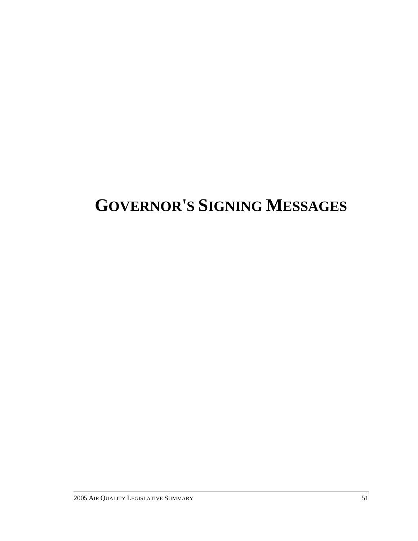# **GOVERNOR'S SIGNING MESSAGES**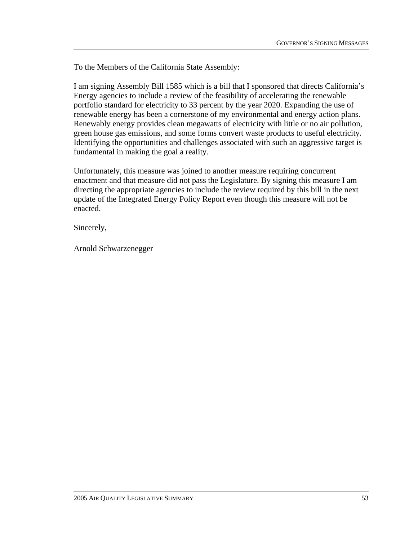I am signing Assembly Bill 1585 which is a bill that I sponsored that directs California's Energy agencies to include a review of the feasibility of accelerating the renewable portfolio standard for electricity to 33 percent by the year 2020. Expanding the use of renewable energy has been a cornerstone of my environmental and energy action plans. Renewably energy provides clean megawatts of electricity with little or no air pollution, green house gas emissions, and some forms convert waste products to useful electricity. Identifying the opportunities and challenges associated with such an aggressive target is fundamental in making the goal a reality.

Unfortunately, this measure was joined to another measure requiring concurrent enactment and that measure did not pass the Legislature. By signing this measure I am directing the appropriate agencies to include the review required by this bill in the next update of the Integrated Energy Policy Report even though this measure will not be enacted.

Sincerely,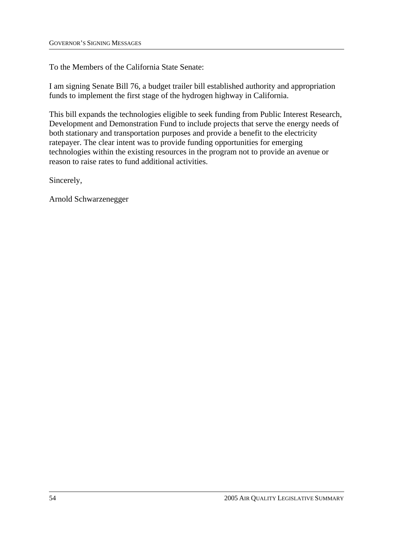To the Members of the California State Senate:

I am signing Senate Bill 76, a budget trailer bill established authority and appropriation funds to implement the first stage of the hydrogen highway in California.

This bill expands the technologies eligible to seek funding from Public Interest Research, Development and Demonstration Fund to include projects that serve the energy needs of both stationary and transportation purposes and provide a benefit to the electricity ratepayer. The clear intent was to provide funding opportunities for emerging technologies within the existing resources in the program not to provide an avenue or reason to raise rates to fund additional activities.

Sincerely,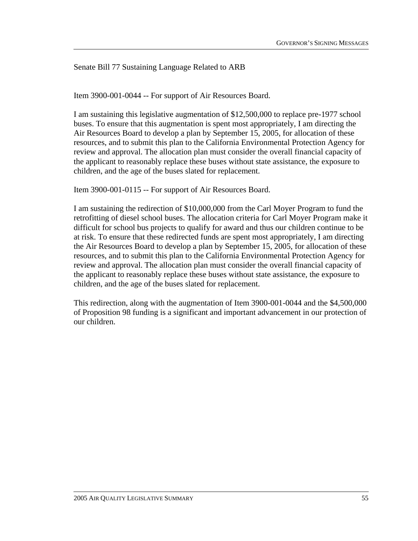Senate Bill 77 Sustaining Language Related to ARB

Item 3900-001-0044 -- For support of Air Resources Board.

I am sustaining this legislative augmentation of \$12,500,000 to replace pre-1977 school buses. To ensure that this augmentation is spent most appropriately, I am directing the Air Resources Board to develop a plan by September 15, 2005, for allocation of these resources, and to submit this plan to the California Environmental Protection Agency for review and approval. The allocation plan must consider the overall financial capacity of the applicant to reasonably replace these buses without state assistance, the exposure to children, and the age of the buses slated for replacement.

Item 3900-001-0115 -- For support of Air Resources Board.

I am sustaining the redirection of \$10,000,000 from the Carl Moyer Program to fund the retrofitting of diesel school buses. The allocation criteria for Carl Moyer Program make it difficult for school bus projects to qualify for award and thus our children continue to be at risk. To ensure that these redirected funds are spent most appropriately, I am directing the Air Resources Board to develop a plan by September 15, 2005, for allocation of these resources, and to submit this plan to the California Environmental Protection Agency for review and approval. The allocation plan must consider the overall financial capacity of the applicant to reasonably replace these buses without state assistance, the exposure to children, and the age of the buses slated for replacement.

This redirection, along with the augmentation of Item 3900-001-0044 and the \$4,500,000 of Proposition 98 funding is a significant and important advancement in our protection of our children.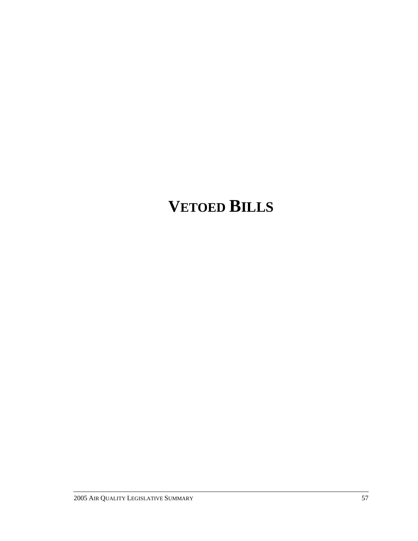# **VETOED BILLS**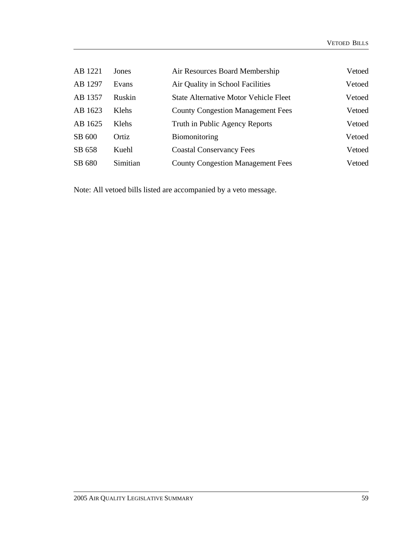| AB 1221 | Jones         | Air Resources Board Membership               | Vetoed |
|---------|---------------|----------------------------------------------|--------|
| AB 1297 | Evans         | Air Quality in School Facilities             | Vetoed |
| AB 1357 | Ruskin        | <b>State Alternative Motor Vehicle Fleet</b> | Vetoed |
| AB 1623 | <b>K</b> lehs | <b>County Congestion Management Fees</b>     | Vetoed |
| AB 1625 | Klehs         | Truth in Public Agency Reports               | Vetoed |
| SB 600  | Ortiz         | <b>Biomonitoring</b>                         | Vetoed |
| SB 658  | Kuehl         | <b>Coastal Conservancy Fees</b>              | Vetoed |
| SB 680  | Simitian      | <b>County Congestion Management Fees</b>     | Vetoed |

Note: All vetoed bills listed are accompanied by a veto message.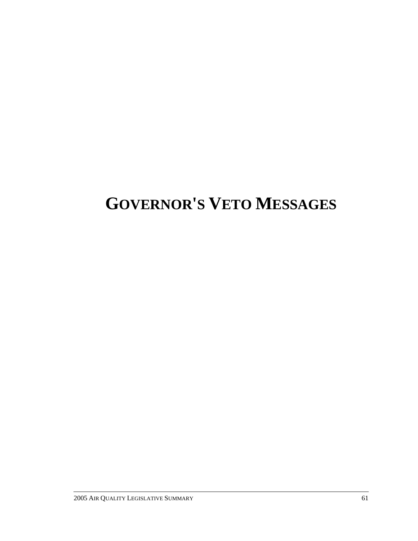# **GOVERNOR'S VETO MESSAGES**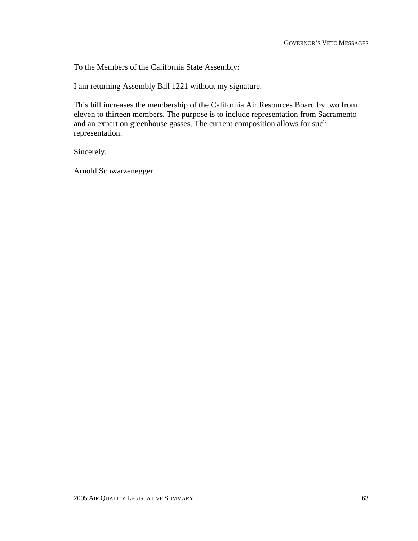I am returning Assembly Bill 1221 without my signature.

This bill increases the membership of the California Air Resources Board by two from eleven to thirteen members. The purpose is to include representation from Sacramento and an expert on greenhouse gasses. The current composition allows for such representation.

Sincerely,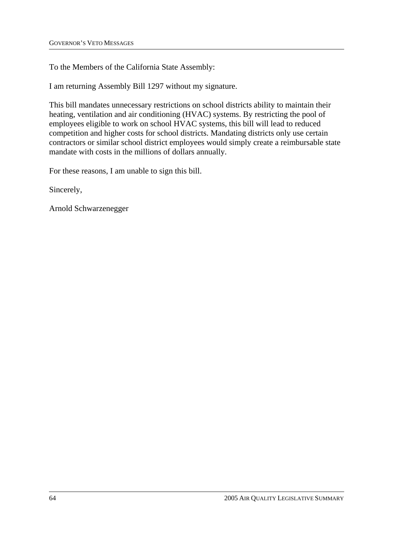I am returning Assembly Bill 1297 without my signature.

This bill mandates unnecessary restrictions on school districts ability to maintain their heating, ventilation and air conditioning (HVAC) systems. By restricting the pool of employees eligible to work on school HVAC systems, this bill will lead to reduced competition and higher costs for school districts. Mandating districts only use certain contractors or similar school district employees would simply create a reimbursable state mandate with costs in the millions of dollars annually.

For these reasons, I am unable to sign this bill.

Sincerely,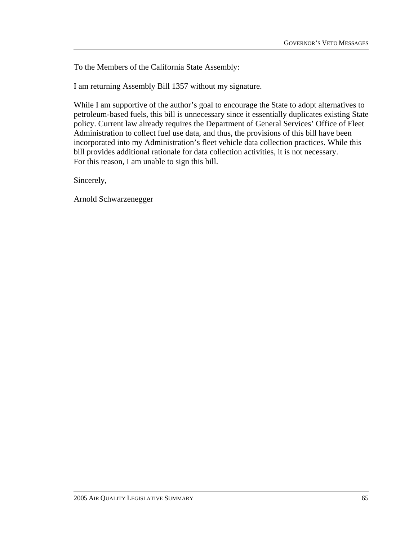I am returning Assembly Bill 1357 without my signature.

While I am supportive of the author's goal to encourage the State to adopt alternatives to petroleum-based fuels, this bill is unnecessary since it essentially duplicates existing State policy. Current law already requires the Department of General Services' Office of Fleet Administration to collect fuel use data, and thus, the provisions of this bill have been incorporated into my Administration's fleet vehicle data collection practices. While this bill provides additional rationale for data collection activities, it is not necessary. For this reason, I am unable to sign this bill.

Sincerely,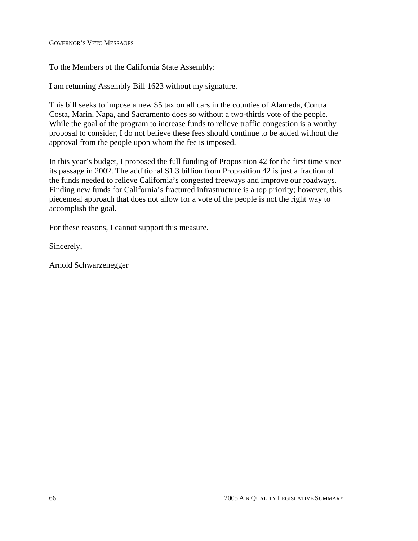I am returning Assembly Bill 1623 without my signature.

This bill seeks to impose a new \$5 tax on all cars in the counties of Alameda, Contra Costa, Marin, Napa, and Sacramento does so without a two-thirds vote of the people. While the goal of the program to increase funds to relieve traffic congestion is a worthy proposal to consider, I do not believe these fees should continue to be added without the approval from the people upon whom the fee is imposed.

In this year's budget, I proposed the full funding of Proposition 42 for the first time since its passage in 2002. The additional \$1.3 billion from Proposition 42 is just a fraction of the funds needed to relieve California's congested freeways and improve our roadways. Finding new funds for California's fractured infrastructure is a top priority; however, this piecemeal approach that does not allow for a vote of the people is not the right way to accomplish the goal.

For these reasons, I cannot support this measure.

Sincerely,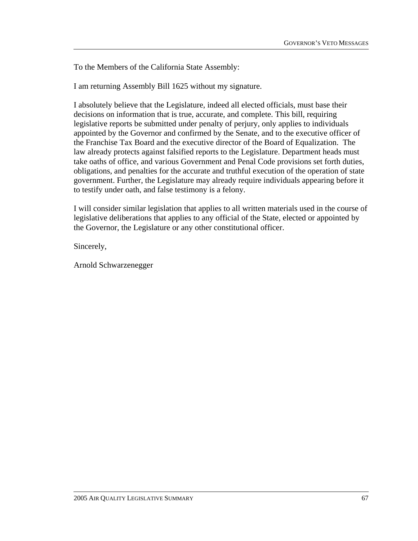To the Members of the California State Assembly:

I am returning Assembly Bill 1625 without my signature.

I absolutely believe that the Legislature, indeed all elected officials, must base their decisions on information that is true, accurate, and complete. This bill, requiring legislative reports be submitted under penalty of perjury, only applies to individuals appointed by the Governor and confirmed by the Senate, and to the executive officer of the Franchise Tax Board and the executive director of the Board of Equalization. The law already protects against falsified reports to the Legislature. Department heads must take oaths of office, and various Government and Penal Code provisions set forth duties, obligations, and penalties for the accurate and truthful execution of the operation of state government. Further, the Legislature may already require individuals appearing before it to testify under oath, and false testimony is a felony.

I will consider similar legislation that applies to all written materials used in the course of legislative deliberations that applies to any official of the State, elected or appointed by the Governor, the Legislature or any other constitutional officer.

Sincerely,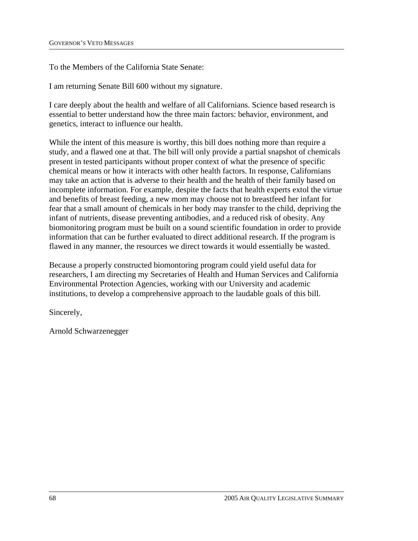To the Members of the California State Senate:

I am returning Senate Bill 600 without my signature.

I care deeply about the health and welfare of all Californians. Science based research is essential to better understand how the three main factors: behavior, environment, and genetics, interact to influence our health.

While the intent of this measure is worthy, this bill does nothing more than require a study, and a flawed one at that. The bill will only provide a partial snapshot of chemicals present in tested participants without proper context of what the presence of specific chemical means or how it interacts with other health factors. In response, Californians may take an action that is adverse to their health and the health of their family based on incomplete information. For example, despite the facts that health experts extol the virtue and benefits of breast feeding, a new mom may choose not to breastfeed her infant for fear that a small amount of chemicals in her body may transfer to the child, depriving the infant of nutrients, disease preventing antibodies, and a reduced risk of obesity. Any biomonitoring program must be built on a sound scientific foundation in order to provide information that can be further evaluated to direct additional research. If the program is flawed in any manner, the resources we direct towards it would essentially be wasted.

Because a properly constructed biomontoring program could yield useful data for researchers, I am directing my Secretaries of Health and Human Services and California Environmental Protection Agencies, working with our University and academic institutions, to develop a comprehensive approach to the laudable goals of this bill.

Sincerely,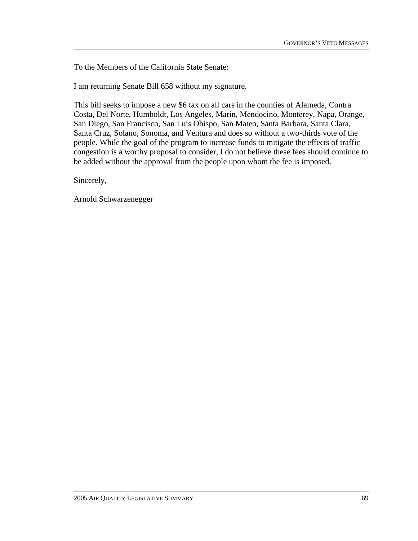To the Members of the California State Senate:

I am returning Senate Bill 658 without my signature.

This bill seeks to impose a new \$6 tax on all cars in the counties of Alameda, Contra Costa, Del Norte, Humboldt, Los Angeles, Marin, Mendocino, Monterey, Napa, Orange, San Diego, San Francisco, San Luis Obispo, San Mateo, Santa Barbara, Santa Clara, Santa Cruz, Solano, Sonoma, and Ventura and does so without a two-thirds vote of the people. While the goal of the program to increase funds to mitigate the effects of traffic congestion is a worthy proposal to consider, I do not believe these fees should continue to be added without the approval from the people upon whom the fee is imposed.

Sincerely,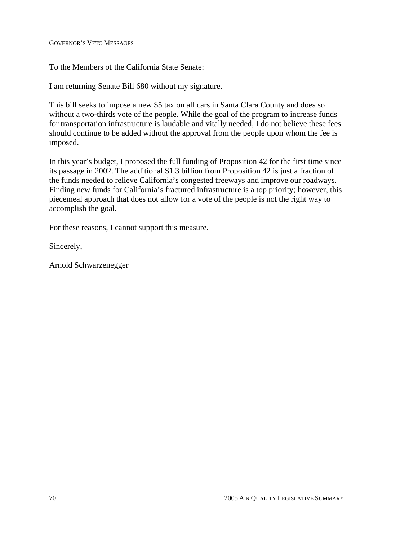To the Members of the California State Senate:

I am returning Senate Bill 680 without my signature.

This bill seeks to impose a new \$5 tax on all cars in Santa Clara County and does so without a two-thirds vote of the people. While the goal of the program to increase funds for transportation infrastructure is laudable and vitally needed, I do not believe these fees should continue to be added without the approval from the people upon whom the fee is imposed.

In this year's budget, I proposed the full funding of Proposition 42 for the first time since its passage in 2002. The additional \$1.3 billion from Proposition 42 is just a fraction of the funds needed to relieve California's congested freeways and improve our roadways. Finding new funds for California's fractured infrastructure is a top priority; however, this piecemeal approach that does not allow for a vote of the people is not the right way to accomplish the goal.

For these reasons, I cannot support this measure.

Sincerely,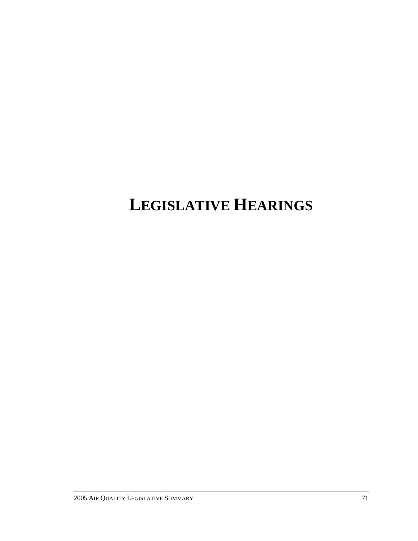# **LEGISLATIVE HEARINGS**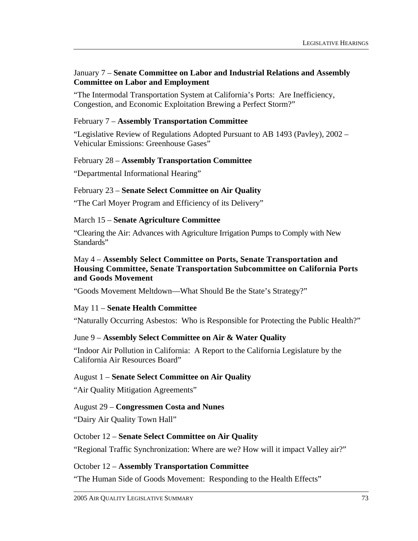#### January 7 – **Senate Committee on Labor and Industrial Relations and Assembly Committee on Labor and Employment**

"The Intermodal Transportation System at California's Ports: Are Inefficiency, Congestion, and Economic Exploitation Brewing a Perfect Storm?"

### February 7 – **Assembly Transportation Committee**

"Legislative Review of Regulations Adopted Pursuant to AB 1493 (Pavley), 2002 – Vehicular Emissions: Greenhouse Gases"

### February 28 – **Assembly Transportation Committee**

"Departmental Informational Hearing"

### February 23 – **Senate Select Committee on Air Quality**

"The Carl Moyer Program and Efficiency of its Delivery"

### March 15 – **Senate Agriculture Committee**

"Clearing the Air: Advances with Agriculture Irrigation Pumps to Comply with New Standards"

#### May 4 – **Assembly Select Committee on Ports, Senate Transportation and Housing Committee, Senate Transportation Subcommittee on California Ports and Goods Movement**

"Goods Movement Meltdown—What Should Be the State's Strategy?"

# May 11 – **Senate Health Committee**

"Naturally Occurring Asbestos: Who is Responsible for Protecting the Public Health?"

# June 9 – **Assembly Select Committee on Air & Water Quality**

"Indoor Air Pollution in California: A Report to the California Legislature by the California Air Resources Board"

# August 1 – **Senate Select Committee on Air Quality**

"Air Quality Mitigation Agreements"

#### August 29 – **Congressmen Costa and Nunes**

"Dairy Air Quality Town Hall"

#### October 12 – **Senate Select Committee on Air Quality**

"Regional Traffic Synchronization: Where are we? How will it impact Valley air?"

#### October 12 – **Assembly Transportation Committee**

"The Human Side of Goods Movement: Responding to the Health Effects"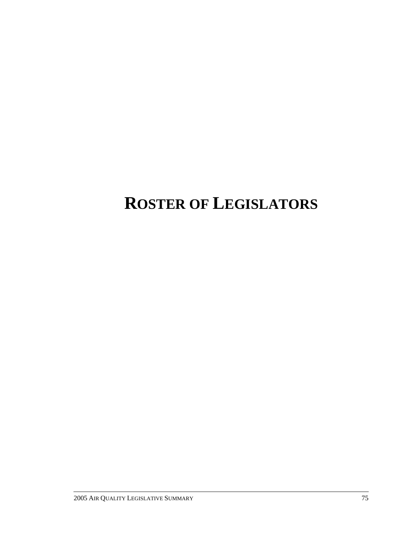# **ROSTER OF LEGISLATORS**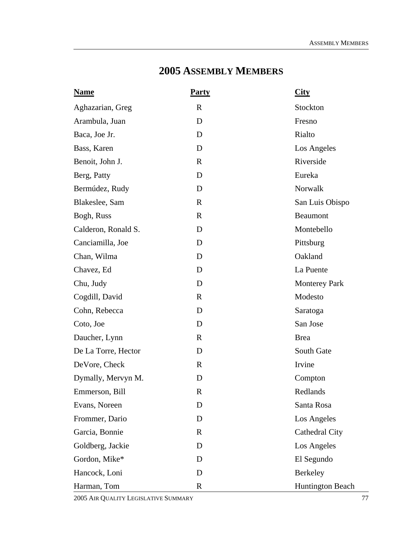# **2005 ASSEMBLY MEMBERS**

| <b>Name</b>         | <b>Party</b> | City                 |
|---------------------|--------------|----------------------|
| Aghazarian, Greg    | $\mathbf R$  | Stockton             |
| Arambula, Juan      | D            | Fresno               |
| Baca, Joe Jr.       | D            | Rialto               |
| Bass, Karen         | D            | Los Angeles          |
| Benoit, John J.     | $\mathbf R$  | Riverside            |
| Berg, Patty         | D            | Eureka               |
| Bermúdez, Rudy      | D            | Norwalk              |
| Blakeslee, Sam      | $\mathbf R$  | San Luis Obispo      |
| Bogh, Russ          | $\mathbf R$  | <b>Beaumont</b>      |
| Calderon, Ronald S. | D            | Montebello           |
| Canciamilla, Joe    | D            | Pittsburg            |
| Chan, Wilma         | D            | Oakland              |
| Chavez, Ed          | D            | La Puente            |
| Chu, Judy           | D            | <b>Monterey Park</b> |
| Cogdill, David      | $\mathbf R$  | Modesto              |
| Cohn, Rebecca       | D            | Saratoga             |
| Coto, Joe           | D            | San Jose             |
| Daucher, Lynn       | $\mathbf R$  | <b>Brea</b>          |
| De La Torre, Hector | D            | South Gate           |
| DeVore, Check       | $\mathbf{R}$ | Irvine               |
| Dymally, Mervyn M.  | D            | Compton              |
| Emmerson, Bill      | R            | Redlands             |
| Evans, Noreen       | D            | Santa Rosa           |
| Frommer, Dario      | D            | Los Angeles          |
| Garcia, Bonnie      | $\mathbf R$  | Cathedral City       |
| Goldberg, Jackie    | D            | Los Angeles          |
| Gordon, Mike*       | D            | El Segundo           |
| Hancock, Loni       | D            | Berkeley             |
| Harman, Tom         | $\mathbf R$  | Huntington Beach     |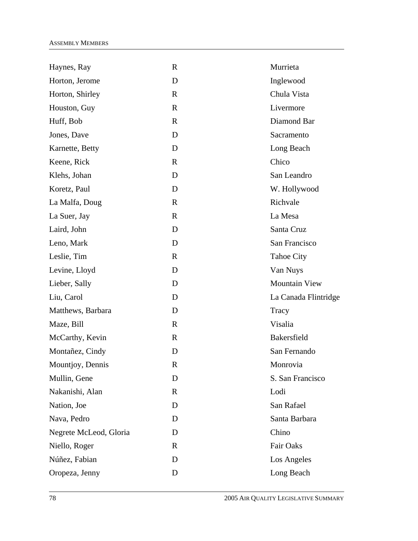| Haynes, Ray            | $\mathbf R$  | Murrieta             |
|------------------------|--------------|----------------------|
| Horton, Jerome         | D            | Inglewood            |
| Horton, Shirley        | $\mathbf{R}$ | Chula Vista          |
| Houston, Guy           | $\mathbf R$  | Livermore            |
| Huff, Bob              | $\mathbf R$  | Diamond Bar          |
| Jones, Dave            | D            | Sacramento           |
| Karnette, Betty        | D            | Long Beach           |
| Keene, Rick            | $\mathbf{R}$ | Chico                |
| Klehs, Johan           | D            | San Leandro          |
| Koretz, Paul           | D            | W. Hollywood         |
| La Malfa, Doug         | $\mathbf R$  | Richvale             |
| La Suer, Jay           | $\mathbf R$  | La Mesa              |
| Laird, John            | D            | Santa Cruz           |
| Leno, Mark             | D            | San Francisco        |
| Leslie, Tim            | $\mathbb{R}$ | <b>Tahoe City</b>    |
| Levine, Lloyd          | D            | Van Nuys             |
| Lieber, Sally          | D            | <b>Mountain View</b> |
| Liu, Carol             | D            | La Canada Flintridge |
| Matthews, Barbara      | D            | Tracy                |
| Maze, Bill             | $\mathbf R$  | Visalia              |
| McCarthy, Kevin        | $\mathbb{R}$ | <b>Bakersfield</b>   |
| Montañez, Cindy        | D            | San Fernando         |
| Mountjoy, Dennis       | $\mathbf R$  | Monrovia             |
| Mullin, Gene           | D            | S. San Francisco     |
| Nakanishi, Alan        | $\mathbf R$  | Lodi                 |
| Nation, Joe            | D            | San Rafael           |
| Nava, Pedro            | D            | Santa Barbara        |
| Negrete McLeod, Gloria | D            | Chino                |
| Niello, Roger          | $\mathbf{R}$ | Fair Oaks            |
| Núñez, Fabian          | D            | Los Angeles          |
| Oropeza, Jenny         | D            | Long Beach           |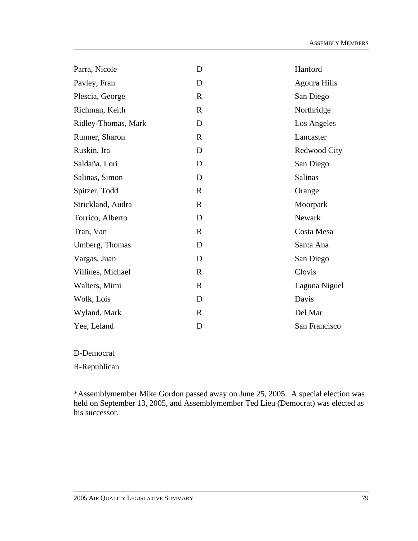| D            | Hanford             |
|--------------|---------------------|
| D            | <b>Agoura Hills</b> |
| $\mathbf{R}$ | San Diego           |
| $\mathbf{R}$ | Northridge          |
| D            | Los Angeles         |
| $\mathbf{R}$ | Lancaster           |
| D            | Redwood City        |
| D            | San Diego           |
| D            | <b>Salinas</b>      |
| $\mathbf R$  | Orange              |
| $\mathbf R$  | Moorpark            |
| D            | Newark              |
| $\mathbf{R}$ | Costa Mesa          |
| D            | Santa Ana           |
| D            | San Diego           |
| $\mathbf R$  | Clovis              |
| $\mathbf R$  | Laguna Niguel       |
| D            | Davis               |
| $\mathbf R$  | Del Mar             |
| D            | San Francisco       |
|              |                     |

D-Democrat

R-Republican

\*Assemblymember Mike Gordon passed away on June 25, 2005. A special election was held on September 13, 2005, and Assemblymember Ted Lieu (Democrat) was elected as his successor.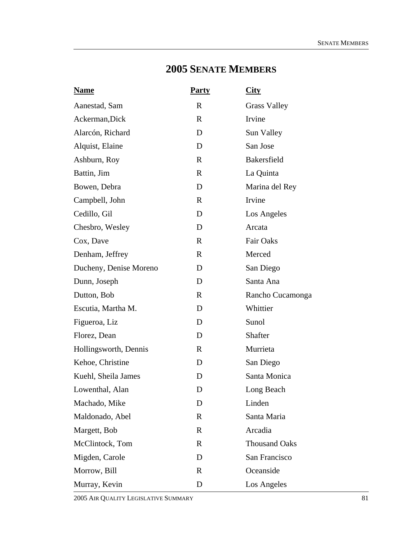# **2005 SENATE MEMBERS**

| <b>Name</b>            | <b>Party</b> | $\overline{\text{City}}$ |
|------------------------|--------------|--------------------------|
| Aanestad, Sam          | $\mathbf{R}$ | <b>Grass Valley</b>      |
| Ackerman, Dick         | $\mathbf R$  | Irvine                   |
| Alarcón, Richard       | D            | Sun Valley               |
| Alquist, Elaine        | D            | San Jose                 |
| Ashburn, Roy           | $\mathbf{R}$ | <b>Bakersfield</b>       |
| Battin, Jim            | $\mathbf R$  | La Quinta                |
| Bowen, Debra           | D            | Marina del Rey           |
| Campbell, John         | $\mathbf{R}$ | Irvine                   |
| Cedillo, Gil           | D            | Los Angeles              |
| Chesbro, Wesley        | D            | Arcata                   |
| Cox, Dave              | $\mathbf{R}$ | <b>Fair Oaks</b>         |
| Denham, Jeffrey        | $\mathbf{R}$ | Merced                   |
| Ducheny, Denise Moreno | D            | San Diego                |
| Dunn, Joseph           | D            | Santa Ana                |
| Dutton, Bob            | $\mathbf{R}$ | Rancho Cucamonga         |
| Escutia, Martha M.     | D            | Whittier                 |
| Figueroa, Liz          | D            | Sunol                    |
| Florez, Dean           | D            | Shafter                  |
| Hollingsworth, Dennis  | $\mathbf{R}$ | Murrieta                 |
| Kehoe, Christine       | D            | San Diego                |
| Kuehl, Sheila James    | D            | Santa Monica             |
| Lowenthal, Alan        | D            | Long Beach               |
| Machado, Mike          | D            | Linden                   |
| Maldonado, Abel        | $\mathbf R$  | Santa Maria              |
| Margett, Bob           | $\mathbf R$  | Arcadia                  |
| McClintock, Tom        | $\mathbf R$  | <b>Thousand Oaks</b>     |
| Migden, Carole         | D            | San Francisco            |
| Morrow, Bill           | $\mathbf R$  | Oceanside                |
| Murray, Kevin          | D            | Los Angeles              |

2005 AIR QUALITY LEGISLATIVE SUMMARY 81